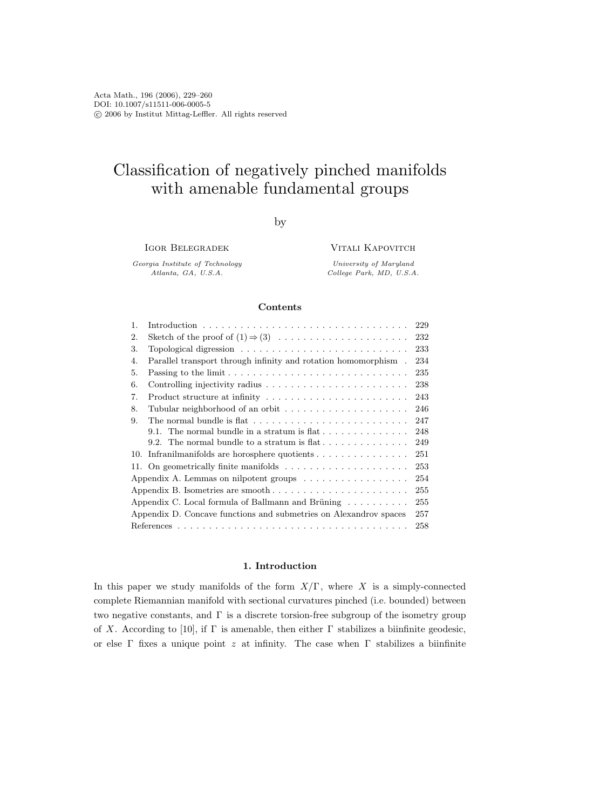# Classification of negatively pinched manifolds with amenable fundamental groups

by

Igor Belegradek

Georgia Institute of Technology Atlanta, GA, U.S.A.

VITALI KAPOVITCH

University of Maryland College Park, MD, U.S.A.

#### Contents

| 1.                                                                |                                                                                        | 229 |
|-------------------------------------------------------------------|----------------------------------------------------------------------------------------|-----|
| 2.                                                                | Sketch of the proof of $(1) \Rightarrow (3) \dots \dots \dots \dots \dots \dots \dots$ | 232 |
| 3.                                                                |                                                                                        | 233 |
| 4.                                                                | Parallel transport through infinity and rotation homomorphism.                         | 234 |
| 5.                                                                |                                                                                        | 235 |
| 6.                                                                |                                                                                        | 238 |
| 7.                                                                | Product structure at infinity                                                          | 243 |
| 8.                                                                |                                                                                        | 246 |
| 9.                                                                | The normal bundle is flat $\dots \dots \dots \dots \dots \dots \dots \dots \dots$      | 247 |
|                                                                   | 9.1. The normal bundle in a stratum is flat $\dots \dots \dots \dots$                  | 248 |
|                                                                   | 9.2. The normal bundle to a stratum is flat $\dots \dots \dots \dots$                  | 249 |
| 10.                                                               | Infranilmanifolds are horosphere quotients $\dots \dots \dots \dots$                   | 251 |
|                                                                   |                                                                                        | 253 |
| Appendix A. Lemmas on nilpotent groups                            |                                                                                        | 254 |
|                                                                   |                                                                                        | 255 |
| Appendix C. Local formula of Ballmann and Brüning                 |                                                                                        | 255 |
| Appendix D. Concave functions and submetries on Alexandrov spaces |                                                                                        | 257 |
|                                                                   |                                                                                        | 258 |
|                                                                   |                                                                                        |     |

## 1. Introduction

In this paper we study manifolds of the form  $X/\Gamma$ , where X is a simply-connected complete Riemannian manifold with sectional curvatures pinched (i.e. bounded) between two negative constants, and  $\Gamma$  is a discrete torsion-free subgroup of the isometry group of X. According to [10], if  $\Gamma$  is amenable, then either  $\Gamma$  stabilizes a biinfinite geodesic, or else Γ fixes a unique point z at infinity. The case when Γ stabilizes a biinfinite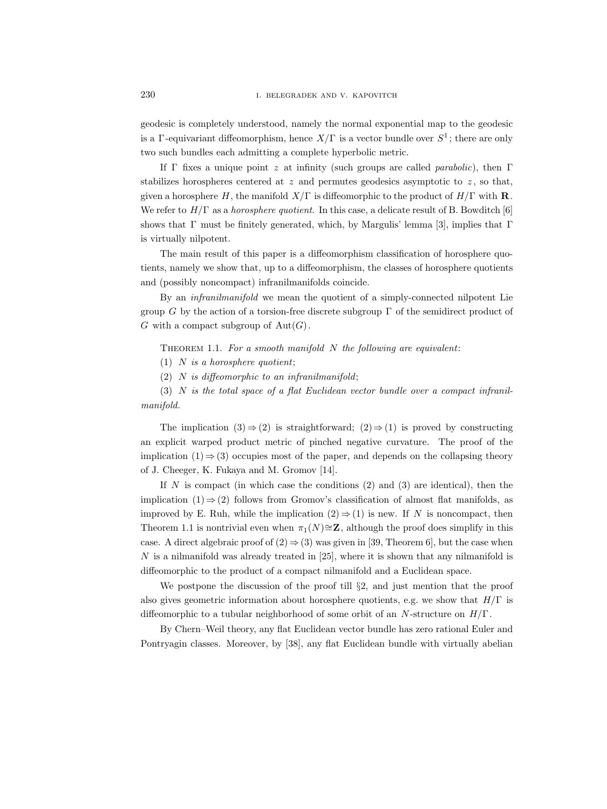geodesic is completely understood, namely the normal exponential map to the geodesic is a Γ-equivariant diffeomorphism, hence  $X/\Gamma$  is a vector bundle over  $S^1$ ; there are only two such bundles each admitting a complete hyperbolic metric.

If  $\Gamma$  fixes a unique point z at infinity (such groups are called *parabolic*), then  $\Gamma$ stabilizes horospheres centered at  $z$  and permutes geodesics asymptotic to  $z$ , so that, given a horosphere H, the manifold  $X/\Gamma$  is diffeomorphic to the product of  $H/\Gamma$  with **R**. We refer to  $H/\Gamma$  as a *horosphere quotient*. In this case, a delicate result of B. Bowditch [6] shows that  $\Gamma$  must be finitely generated, which, by Margulis' lemma [3], implies that  $\Gamma$ is virtually nilpotent.

The main result of this paper is a diffeomorphism classification of horosphere quotients, namely we show that, up to a diffeomorphism, the classes of horosphere quotients and (possibly noncompact) infranilmanifolds coincide.

By an *infranilmanifold* we mean the quotient of a simply-connected nilpotent Lie group G by the action of a torsion-free discrete subgroup  $\Gamma$  of the semidirect product of G with a compact subgroup of  $Aut(G)$ .

THEOREM 1.1. For a smooth manifold  $N$  the following are equivalent:

(1)  $N$  is a horosphere quotient;

(2)  $N$  is diffeomorphic to an infranilmanifold;

 $(3)$  N is the total space of a flat Euclidean vector bundle over a compact infranilmanifold.

The implication  $(3) \Rightarrow (2)$  is straightforward;  $(2) \Rightarrow (1)$  is proved by constructing an explicit warped product metric of pinched negative curvature. The proof of the implication  $(1) \Rightarrow (3)$  occupies most of the paper, and depends on the collapsing theory of J. Cheeger, K. Fukaya and M. Gromov [14].

If N is compact (in which case the conditions  $(2)$  and  $(3)$  are identical), then the implication  $(1) \Rightarrow (2)$  follows from Gromov's classification of almost flat manifolds, as improved by E. Ruh, while the implication  $(2) \Rightarrow (1)$  is new. If N is noncompact, then Theorem 1.1 is nontrivial even when  $\pi_1(N) \cong \mathbb{Z}$ , although the proof does simplify in this case. A direct algebraic proof of  $(2) \Rightarrow (3)$  was given in [39, Theorem 6], but the case when  $N$  is a nilmanifold was already treated in [25], where it is shown that any nilmanifold is diffeomorphic to the product of a compact nilmanifold and a Euclidean space.

We postpone the discussion of the proof till  $\S$ 2, and just mention that the proof also gives geometric information about horosphere quotients, e.g. we show that  $H/\Gamma$  is diffeomorphic to a tubular neighborhood of some orbit of an N-structure on  $H/\Gamma$ .

By Chern–Weil theory, any flat Euclidean vector bundle has zero rational Euler and Pontryagin classes. Moreover, by [38], any flat Euclidean bundle with virtually abelian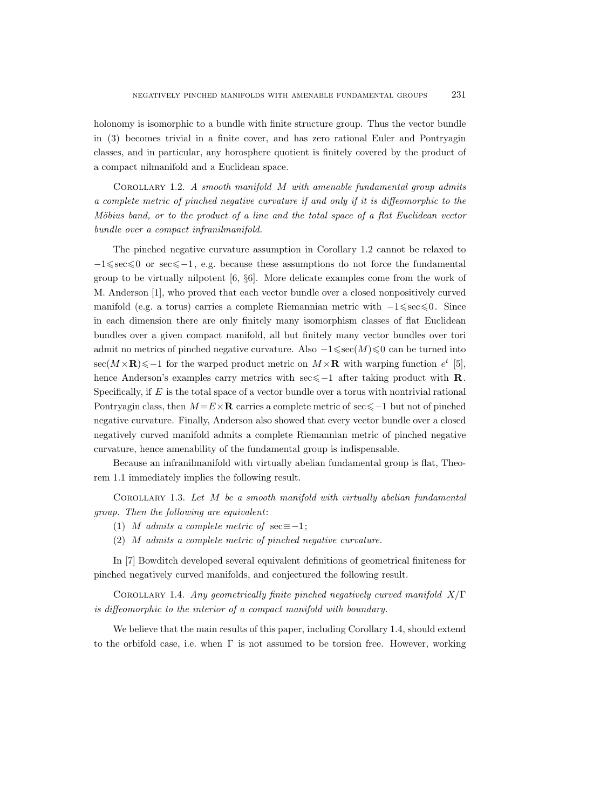holonomy is isomorphic to a bundle with finite structure group. Thus the vector bundle in (3) becomes trivial in a finite cover, and has zero rational Euler and Pontryagin classes, and in particular, any horosphere quotient is finitely covered by the product of a compact nilmanifold and a Euclidean space.

Corollary 1.2. A smooth manifold M with amenable fundamental group admits a complete metric of pinched negative curvature if and only if it is diffeomorphic to the Möbius band, or to the product of a line and the total space of a flat Euclidean vector bundle over a compact infranilmanifold.

The pinched negative curvature assumption in Corollary 1.2 cannot be relaxed to  $-1 \leqslant \sec \leqslant 0$  or sec $\leqslant -1$ , e.g. because these assumptions do not force the fundamental group to be virtually nilpotent [6, §6]. More delicate examples come from the work of M. Anderson [1], who proved that each vector bundle over a closed nonpositively curved manifold (e.g. a torus) carries a complete Riemannian metric with  $-1 \leq \sec \leq 0$ . Since in each dimension there are only finitely many isomorphism classes of flat Euclidean bundles over a given compact manifold, all but finitely many vector bundles over tori admit no metrics of pinched negative curvature. Also  $-1 \leqslant \sec(M) \leqslant 0$  can be turned into sec( $M \times \mathbf{R}$ )  $\le -1$  for the warped product metric on  $M \times \mathbf{R}$  with warping function  $e^t$  [5], hence Anderson's examples carry metrics with sec $\leq -1$  after taking product with R. Specifically, if E is the total space of a vector bundle over a torus with nontrivial rational Pontryagin class, then  $M = E \times \mathbf{R}$  carries a complete metric of sec  $\leq -1$  but not of pinched negative curvature. Finally, Anderson also showed that every vector bundle over a closed negatively curved manifold admits a complete Riemannian metric of pinched negative curvature, hence amenability of the fundamental group is indispensable.

Because an infranilmanifold with virtually abelian fundamental group is flat, Theorem 1.1 immediately implies the following result.

Corollary 1.3. Let M be a smooth manifold with virtually abelian fundamental group. Then the following are equivalent:

- (1) M admits a complete metric of sec $\equiv -1$ ;
- (2) M admits a complete metric of pinched negative curvature.

In [7] Bowditch developed several equivalent definitions of geometrical finiteness for pinched negatively curved manifolds, and conjectured the following result.

COROLLARY 1.4. Any geometrically finite pinched negatively curved manifold  $X/\Gamma$ is diffeomorphic to the interior of a compact manifold with boundary.

We believe that the main results of this paper, including Corollary 1.4, should extend to the orbifold case, i.e. when  $\Gamma$  is not assumed to be torsion free. However, working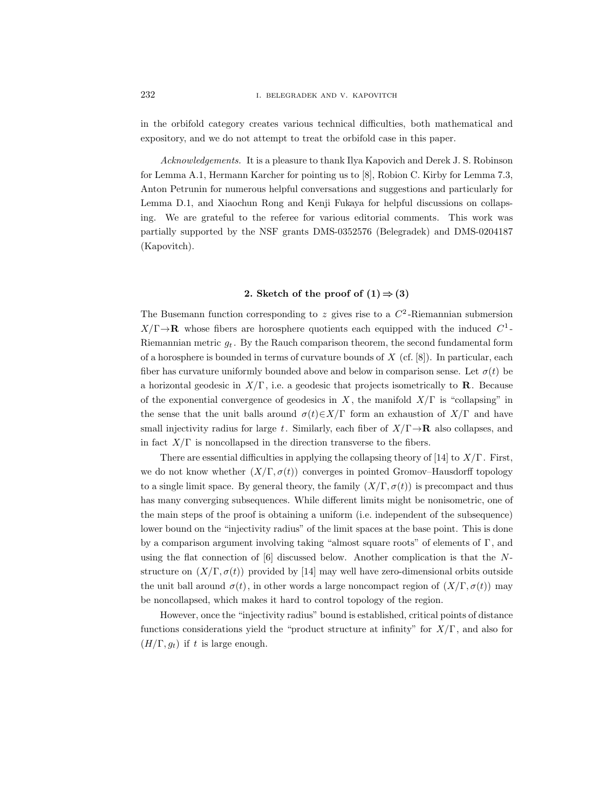in the orbifold category creates various technical difficulties, both mathematical and expository, and we do not attempt to treat the orbifold case in this paper.

Acknowledgements. It is a pleasure to thank Ilya Kapovich and Derek J. S. Robinson for Lemma A.1, Hermann Karcher for pointing us to [8], Robion C. Kirby for Lemma 7.3, Anton Petrunin for numerous helpful conversations and suggestions and particularly for Lemma D.1, and Xiaochun Rong and Kenji Fukaya for helpful discussions on collapsing. We are grateful to the referee for various editorial comments. This work was partially supported by the NSF grants DMS-0352576 (Belegradek) and DMS-0204187 (Kapovitch).

# 2. Sketch of the proof of  $(1) \Rightarrow (3)$

The Busemann function corresponding to  $z$  gives rise to a  $C<sup>2</sup>$ -Riemannian submersion  $X/\Gamma \rightarrow \mathbf{R}$  whose fibers are horosphere quotients each equipped with the induced  $C^1$ -Riemannian metric  $g_t$ . By the Rauch comparison theorem, the second fundamental form of a horosphere is bounded in terms of curvature bounds of  $X$  (cf. [8]). In particular, each fiber has curvature uniformly bounded above and below in comparison sense. Let  $\sigma(t)$  be a horizontal geodesic in  $X/\Gamma$ , i.e. a geodesic that projects isometrically to **R**. Because of the exponential convergence of geodesics in X, the manifold  $X/\Gamma$  is "collapsing" in the sense that the unit balls around  $\sigma(t) \in X/\Gamma$  form an exhaustion of  $X/\Gamma$  and have small injectivity radius for large t. Similarly, each fiber of  $X/\Gamma \rightarrow \mathbf{R}$  also collapses, and in fact  $X/\Gamma$  is noncollapsed in the direction transverse to the fibers.

There are essential difficulties in applying the collapsing theory of [14] to  $X/\Gamma$ . First, we do not know whether  $(X/\Gamma, \sigma(t))$  converges in pointed Gromov–Hausdorff topology to a single limit space. By general theory, the family  $(X/\Gamma, \sigma(t))$  is precompact and thus has many converging subsequences. While different limits might be nonisometric, one of the main steps of the proof is obtaining a uniform (i.e. independent of the subsequence) lower bound on the "injectivity radius" of the limit spaces at the base point. This is done by a comparison argument involving taking "almost square roots" of elements of  $\Gamma$ , and using the flat connection of  $[6]$  discussed below. Another complication is that the Nstructure on  $(X/\Gamma, \sigma(t))$  provided by [14] may well have zero-dimensional orbits outside the unit ball around  $\sigma(t)$ , in other words a large noncompact region of  $(X/\Gamma, \sigma(t))$  may be noncollapsed, which makes it hard to control topology of the region.

However, once the "injectivity radius" bound is established, critical points of distance functions considerations yield the "product structure at infinity" for X/Γ, and also for  $(H/\Gamma, q_t)$  if t is large enough.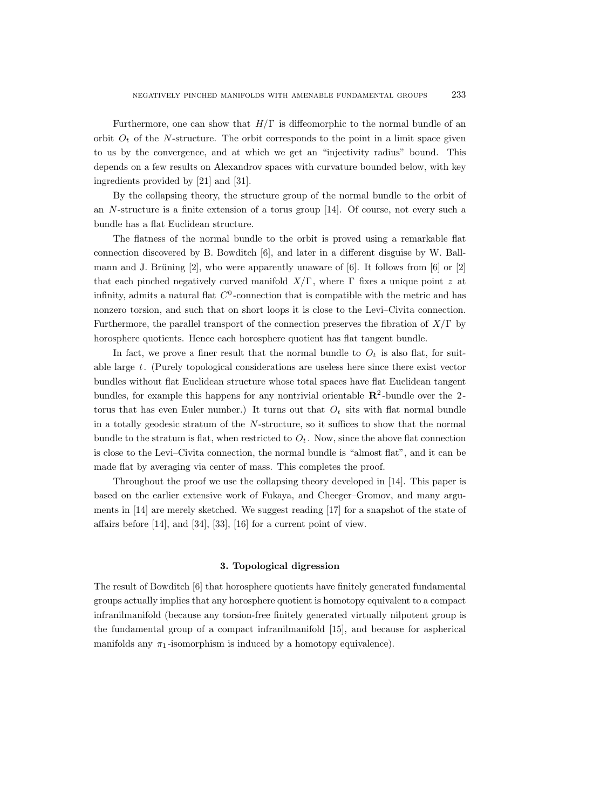Furthermore, one can show that  $H/\Gamma$  is diffeomorphic to the normal bundle of an orbit  $O_t$  of the N-structure. The orbit corresponds to the point in a limit space given to us by the convergence, and at which we get an "injectivity radius" bound. This depends on a few results on Alexandrov spaces with curvature bounded below, with key ingredients provided by [21] and [31].

By the collapsing theory, the structure group of the normal bundle to the orbit of an N-structure is a finite extension of a torus group [14]. Of course, not every such a bundle has a flat Euclidean structure.

The flatness of the normal bundle to the orbit is proved using a remarkable flat connection discovered by B. Bowditch [6], and later in a different disguise by W. Ballmann and J. Brüning  $[2]$ , who were apparently unaware of  $[6]$ . It follows from  $[6]$  or  $[2]$ that each pinched negatively curved manifold  $X/\Gamma$ , where  $\Gamma$  fixes a unique point z at infinity, admits a natural flat  $C^0$ -connection that is compatible with the metric and has nonzero torsion, and such that on short loops it is close to the Levi–Civita connection. Furthermore, the parallel transport of the connection preserves the fibration of  $X/\Gamma$  by horosphere quotients. Hence each horosphere quotient has flat tangent bundle.

In fact, we prove a finer result that the normal bundle to  $O_t$  is also flat, for suitable large t. (Purely topological considerations are useless here since there exist vector bundles without flat Euclidean structure whose total spaces have flat Euclidean tangent bundles, for example this happens for any nontrivial orientable  $\mathbb{R}^2$ -bundle over the 2torus that has even Euler number.) It turns out that  $O_t$  sits with flat normal bundle in a totally geodesic stratum of the  $N$ -structure, so it suffices to show that the normal bundle to the stratum is flat, when restricted to  $O_t$ . Now, since the above flat connection is close to the Levi–Civita connection, the normal bundle is "almost flat", and it can be made flat by averaging via center of mass. This completes the proof.

Throughout the proof we use the collapsing theory developed in [14]. This paper is based on the earlier extensive work of Fukaya, and Cheeger–Gromov, and many arguments in [14] are merely sketched. We suggest reading [17] for a snapshot of the state of affairs before [14], and [34], [33], [16] for a current point of view.

## 3. Topological digression

The result of Bowditch [6] that horosphere quotients have finitely generated fundamental groups actually implies that any horosphere quotient is homotopy equivalent to a compact infranilmanifold (because any torsion-free finitely generated virtually nilpotent group is the fundamental group of a compact infranilmanifold [15], and because for aspherical manifolds any  $\pi_1$ -isomorphism is induced by a homotopy equivalence).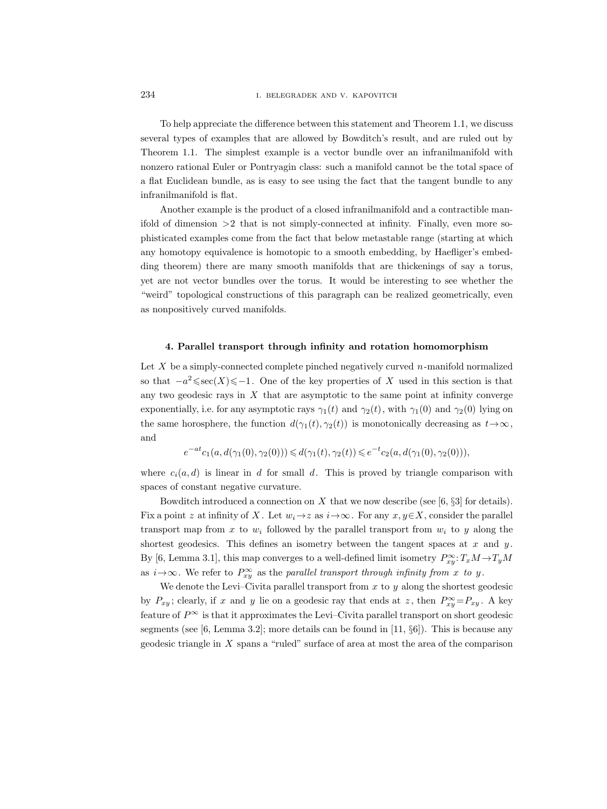To help appreciate the difference between this statement and Theorem 1.1, we discuss several types of examples that are allowed by Bowditch's result, and are ruled out by Theorem 1.1. The simplest example is a vector bundle over an infranilmanifold with nonzero rational Euler or Pontryagin class: such a manifold cannot be the total space of a flat Euclidean bundle, as is easy to see using the fact that the tangent bundle to any infranilmanifold is flat.

Another example is the product of a closed infranilmanifold and a contractible manifold of dimension  $>2$  that is not simply-connected at infinity. Finally, even more sophisticated examples come from the fact that below metastable range (starting at which any homotopy equivalence is homotopic to a smooth embedding, by Haefliger's embedding theorem) there are many smooth manifolds that are thickenings of say a torus, yet are not vector bundles over the torus. It would be interesting to see whether the "weird" topological constructions of this paragraph can be realized geometrically, even as nonpositively curved manifolds.

### 4. Parallel transport through infinity and rotation homomorphism

Let  $X$  be a simply-connected complete pinched negatively curved  $n$ -manifold normalized so that  $-a^2 \leq \sec(X) \leq -1$ . One of the key properties of X used in this section is that any two geodesic rays in  $X$  that are asymptotic to the same point at infinity converge exponentially, i.e. for any asymptotic rays  $\gamma_1(t)$  and  $\gamma_2(t)$ , with  $\gamma_1(0)$  and  $\gamma_2(0)$  lying on the same horosphere, the function  $d(\gamma_1(t), \gamma_2(t))$  is monotonically decreasing as  $t \rightarrow \infty$ , and

$$
e^{-at}c_1(a, d(\gamma_1(0), \gamma_2(0))) \leq d(\gamma_1(t), \gamma_2(t)) \leq e^{-t}c_2(a, d(\gamma_1(0), \gamma_2(0))),
$$

where  $c_i(a, d)$  is linear in d for small d. This is proved by triangle comparison with spaces of constant negative curvature.

Bowditch introduced a connection on X that we now describe (see [6,  $\S 3$ ] for details). Fix a point z at infinity of X. Let  $w_i \rightarrow z$  as  $i \rightarrow \infty$ . For any  $x, y \in X$ , consider the parallel transport map from x to  $w_i$  followed by the parallel transport from  $w_i$  to y along the shortest geodesics. This defines an isometry between the tangent spaces at  $x$  and  $y$ . By [6, Lemma 3.1], this map converges to a well-defined limit isometry  $P_{xy}^{\infty}: T_xM \to T_yM$ as  $i \rightarrow \infty$ . We refer to  $P_{xy}^{\infty}$  as the parallel transport through infinity from x to y.

We denote the Levi–Civita parallel transport from  $x$  to  $y$  along the shortest geodesic by  $P_{xy}$ ; clearly, if x and y lie on a geodesic ray that ends at z, then  $P_{xy}^{\infty} = P_{xy}$ . A key feature of  $P^{\infty}$  is that it approximates the Levi–Civita parallel transport on short geodesic segments (see [6, Lemma 3.2]; more details can be found in  $[11, \S6]$ ). This is because any geodesic triangle in  $X$  spans a "ruled" surface of area at most the area of the comparison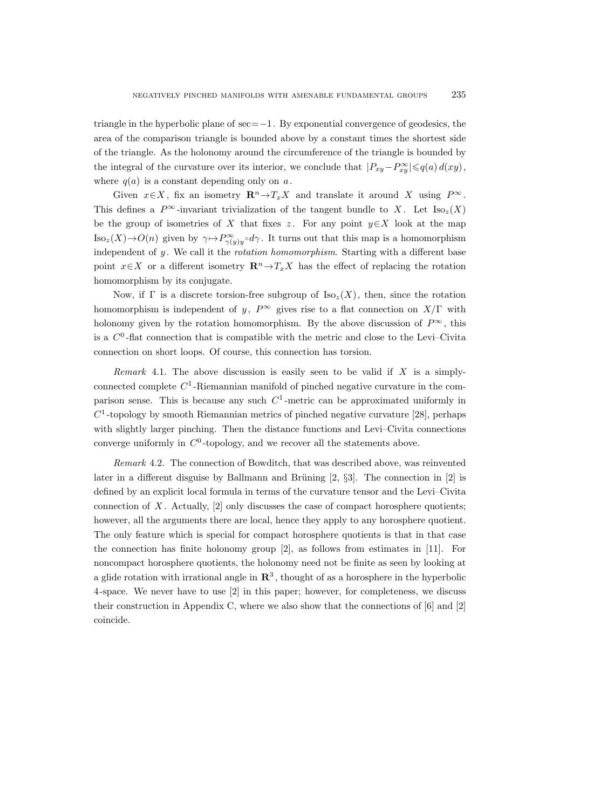triangle in the hyperbolic plane of  $sec=-1$ . By exponential convergence of geodesics, the area of the comparison triangle is bounded above by a constant times the shortest side of the triangle. As the holonomy around the circumference of the triangle is bounded by the integral of the curvature over its interior, we conclude that  $|P_{xy}-P_{xy}^{\infty}| \leqslant q(a) d(xy)$ , where  $q(a)$  is a constant depending only on a.

Given  $x \in X$ , fix an isometry  $\mathbb{R}^n \to T_x X$  and translate it around X using  $P^{\infty}$ . This defines a  $P^{\infty}$ -invariant trivialization of the tangent bundle to X. Let  $\text{Iso}_{z}(X)$ be the group of isometries of X that fixes z. For any point  $y \in X$  look at the map Iso<sub>z</sub> $(X) \rightarrow O(n)$  given by  $\gamma \mapsto P_{\gamma(y)y}^{\infty} \circ d\gamma$ . It turns out that this map is a homomorphism independent of y. We call it the *rotation homomorphism*. Starting with a different base point  $x \in X$  or a different isometry  $\mathbb{R}^n \to T_xX$  has the effect of replacing the rotation homomorphism by its conjugate.

Now, if  $\Gamma$  is a discrete torsion-free subgroup of  $\text{Iso}_{z}(X)$ , then, since the rotation homomorphism is independent of y,  $P^{\infty}$  gives rise to a flat connection on  $X/\Gamma$  with holonomy given by the rotation homomorphism. By the above discussion of  $P^{\infty}$ , this is a  $C^0$ -flat connection that is compatible with the metric and close to the Levi–Civita connection on short loops. Of course, this connection has torsion.

*Remark* 4.1. The above discussion is easily seen to be valid if  $X$  is a simplyconnected complete  $C<sup>1</sup>$ -Riemannian manifold of pinched negative curvature in the comparison sense. This is because any such  $C<sup>1</sup>$ -metric can be approximated uniformly in  $C<sup>1</sup>$ -topology by smooth Riemannian metrics of pinched negative curvature [28], perhaps with slightly larger pinching. Then the distance functions and Levi–Civita connections converge uniformly in  $C^0$ -topology, and we recover all the statements above.

Remark 4.2. The connection of Bowditch, that was described above, was reinvented later in a different disguise by Ballmann and Brüning  $[2, \S 3]$ . The connection in  $[2]$  is defined by an explicit local formula in terms of the curvature tensor and the Levi–Civita connection of X. Actually,  $[2]$  only discusses the case of compact horosphere quotients; however, all the arguments there are local, hence they apply to any horosphere quotient. The only feature which is special for compact horosphere quotients is that in that case the connection has finite holonomy group [2], as follows from estimates in [11]. For noncompact horosphere quotients, the holonomy need not be finite as seen by looking at a glide rotation with irrational angle in  $\mathbb{R}^3$ , thought of as a horosphere in the hyperbolic 4 -space. We never have to use [2] in this paper; however, for completeness, we discuss their construction in Appendix C, where we also show that the connections of  $[6]$  and  $[2]$ coincide.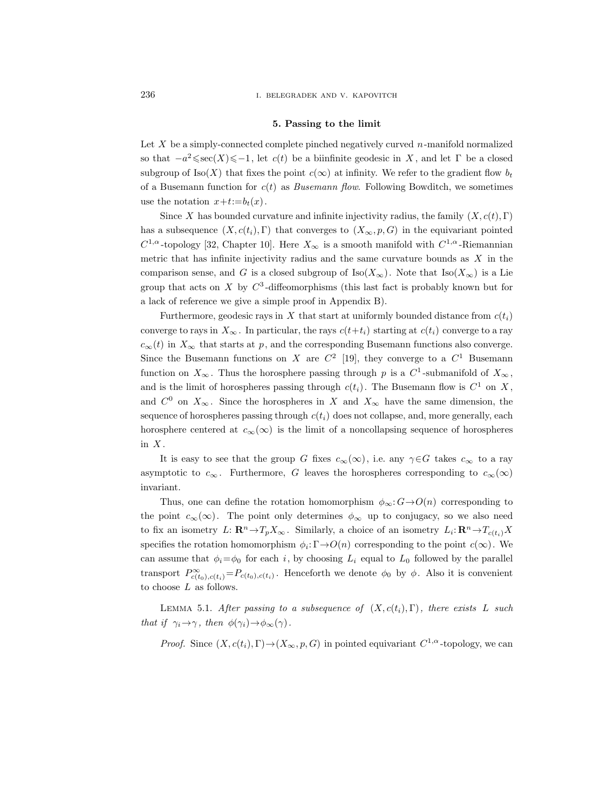#### 5. Passing to the limit

Let  $X$  be a simply-connected complete pinched negatively curved  $n$ -manifold normalized so that  $-a^2 \leq \sec(X) \leq -1$ , let  $c(t)$  be a biinfinite geodesic in X, and let  $\Gamma$  be a closed subgroup of  $\text{Iso}(X)$  that fixes the point  $c(\infty)$  at infinity. We refer to the gradient flow  $b_t$ of a Busemann function for  $c(t)$  as *Busemann flow*. Following Bowditch, we sometimes use the notation  $x+t:=b_t(x)$ .

Since X has bounded curvature and infinite injectivity radius, the family  $(X, c(t), \Gamma)$ has a subsequence  $(X, c(t_i), \Gamma)$  that converges to  $(X_{\infty}, p, G)$  in the equivariant pointed  $C^{1,\alpha}$ -topology [32, Chapter 10]. Here  $X_{\infty}$  is a smooth manifold with  $C^{1,\alpha}$ -Riemannian metric that has infinite injectivity radius and the same curvature bounds as  $X$  in the comparison sense, and G is a closed subgroup of  $Iso(X_{\infty})$ . Note that  $Iso(X_{\infty})$  is a Lie group that acts on  $X$  by  $C^3$ -diffeomorphisms (this last fact is probably known but for a lack of reference we give a simple proof in Appendix B).

Furthermore, geodesic rays in X that start at uniformly bounded distance from  $c(t_i)$ converge to rays in  $X_{\infty}$ . In particular, the rays  $c(t+t_i)$  starting at  $c(t_i)$  converge to a ray  $c_{\infty}(t)$  in  $X_{\infty}$  that starts at p, and the corresponding Busemann functions also converge. Since the Busemann functions on X are  $C<sup>2</sup>$  [19], they converge to a  $C<sup>1</sup>$  Busemann function on  $X_{\infty}$ . Thus the horosphere passing through p is a  $C^1$ -submanifold of  $X_{\infty}$ , and is the limit of horospheres passing through  $c(t_i)$ . The Busemann flow is  $C^1$  on X, and  $C^0$  on  $X_{\infty}$ . Since the horospheres in X and  $X_{\infty}$  have the same dimension, the sequence of horospheres passing through  $c(t_i)$  does not collapse, and, more generally, each horosphere centered at  $c_{\infty}(\infty)$  is the limit of a noncollapsing sequence of horospheres in  $X$ .

It is easy to see that the group G fixes  $c_{\infty}(\infty)$ , i.e. any  $\gamma \in G$  takes  $c_{\infty}$  to a ray asymptotic to  $c_{\infty}$ . Furthermore, G leaves the horospheres corresponding to  $c_{\infty}(\infty)$ invariant.

Thus, one can define the rotation homomorphism  $\phi_{\infty}: G \to O(n)$  corresponding to the point  $c_{\infty}(\infty)$ . The point only determines  $\phi_{\infty}$  up to conjugacy, so we also need to fix an isometry  $L: \mathbf{R}^n \to T_p X_\infty$ . Similarly, a choice of an isometry  $L_i: \mathbf{R}^n \to T_{c(t_i)} X$ specifies the rotation homomorphism  $\phi_i: \Gamma \to O(n)$  corresponding to the point  $c(\infty)$ . We can assume that  $\phi_i = \phi_0$  for each i, by choosing  $L_i$  equal to  $L_0$  followed by the parallel transport  $P_{c(t_0),c(t_i)}^{\infty} = P_{c(t_0),c(t_i)}$ . Henceforth we denote  $\phi_0$  by  $\phi$ . Also it is convenient to choose L as follows.

LEMMA 5.1. After passing to a subsequence of  $(X, c(t_i), \Gamma)$ , there exists L such that if  $\gamma_i \rightarrow \gamma$ , then  $\phi(\gamma_i) \rightarrow \phi_\infty(\gamma)$ .

*Proof.* Since  $(X, c(t_i), \Gamma) \rightarrow (X_{\infty}, p, G)$  in pointed equivariant  $C^{1,\alpha}$ -topology, we can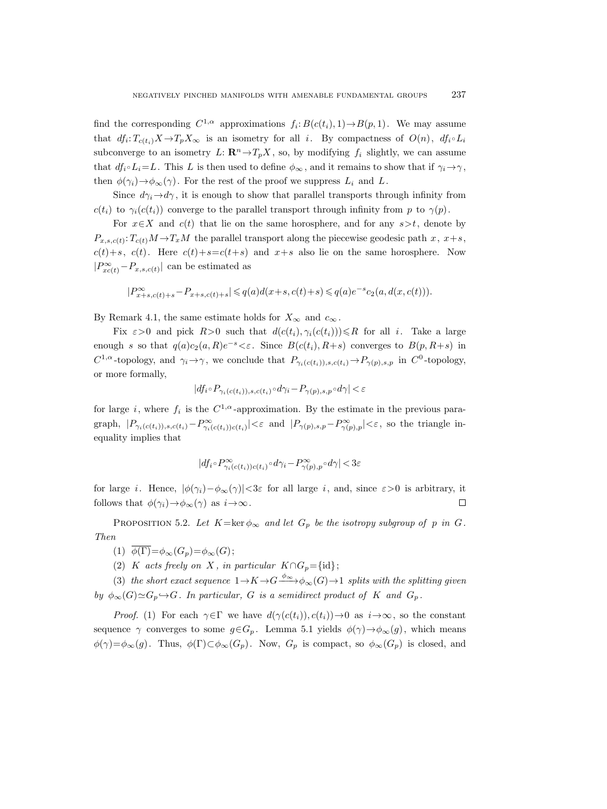find the corresponding  $C^{1,\alpha}$  approximations  $f_i: B(c(t_i), 1) \to B(p, 1)$ . We may assume that  $df_i: T_{c(t_i)}X \to T_pX_\infty$  is an isometry for all i. By compactness of  $O(n)$ ,  $df_i \circ L_i$ subconverge to an isometry L:  $\mathbf{R}^n \to T_p X$ , so, by modifying  $f_i$  slightly, we can assume that  $df_i \circ L_i = L$ . This L is then used to define  $\phi_{\infty}$ , and it remains to show that if  $\gamma_i \rightarrow \gamma$ , then  $\phi(\gamma_i) \rightarrow \phi_\infty(\gamma)$ . For the rest of the proof we suppress  $L_i$  and  $L$ .

Since  $d\gamma_i \rightarrow d\gamma$ , it is enough to show that parallel transports through infinity from  $c(t_i)$  to  $\gamma_i(c(t_i))$  converge to the parallel transport through infinity from p to  $\gamma(p)$ .

For  $x \in X$  and  $c(t)$  that lie on the same horosphere, and for any  $s > t$ , denote by  $P_{x,s,c(t)}$ :  $T_{c(t)}M \rightarrow T_xM$  the parallel transport along the piecewise geodesic path  $x, x+s$ ,  $c(t)+s$ ,  $c(t)$ . Here  $c(t)+s=c(t+s)$  and  $x+s$  also lie on the same horosphere. Now  $|P_{xc(t)}^{\infty} - P_{x,s,c(t)}|$  can be estimated as

$$
|P^{\infty}_{x+s,c(t)+s}-P_{x+s,c(t)+s}|\leqslant q(a)d(x+s,c(t)+s)\leqslant q(a)e^{-s}c_2(a,d(x,c(t))).
$$

By Remark 4.1, the same estimate holds for  $X_{\infty}$  and  $c_{\infty}$ .

Fix  $\varepsilon > 0$  and pick  $R > 0$  such that  $d(c(t_i), \gamma_i(c(t_i))) \leq R$  for all i. Take a large enough s so that  $q(a)c_2(a,R)e^{-s} < \varepsilon$ . Since  $B(c(t_i), R+s)$  converges to  $B(p, R+s)$  in  $C^{1,\alpha}$ -topology, and  $\gamma_i \to \gamma$ , we conclude that  $P_{\gamma_i(c(t_i)),s,c(t_i)} \to P_{\gamma(p),s,p}$  in  $C^0$ -topology, or more formally,

$$
|df_i \circ P_{\gamma_i(c(t_i)),s,c(t_i)} \circ d\gamma_i - P_{\gamma(p),s,p} \circ d\gamma| < \varepsilon
$$

for large i, where  $f_i$  is the  $C^{1,\alpha}$ -approximation. By the estimate in the previous paragraph,  $|P_{\gamma_i(c(t_i)),s,c(t_i)} - P_{\gamma_i(c(t_i))c(t_i)}^{\infty}| < \varepsilon$  and  $|P_{\gamma(p),s,p} - P_{\gamma(p),p}^{\infty}| < \varepsilon$ , so the triangle inequality implies that

$$
|df_i \circ P_{\gamma_i(c(t_i))c(t_i)}^{\infty} \circ d\gamma_i - P_{\gamma(p),p}^{\infty} \circ d\gamma| < 3\varepsilon
$$

for large *i*. Hence,  $|\phi(\gamma_i) - \phi_\infty(\gamma)| < 3\varepsilon$  for all large *i*, and, since  $\varepsilon > 0$  is arbitrary, it follows that  $\phi(\gamma_i) \rightarrow \phi_\infty(\gamma)$  as  $i \rightarrow \infty$ .  $\Box$ 

PROPOSITION 5.2. Let  $K=\ker \phi_{\infty}$  and let  $G_p$  be the isotropy subgroup of p in G. Then

- (1)  $\phi(\Gamma) = \phi_{\infty}(G_p) = \phi_{\infty}(G);$
- (2) K acts freely on X, in particular  $K \cap G_p = \{id\};$

(3) the short exact sequence  $1 \rightarrow K \rightarrow G \xrightarrow{\phi_{\infty}} \phi_{\infty}(G) \rightarrow 1$  splits with the splitting given by  $\phi_{\infty}(G) \simeq G_p \hookrightarrow G$ . In particular, G is a semidirect product of K and  $G_p$ .

*Proof.* (1) For each  $\gamma \in \Gamma$  we have  $d(\gamma(c(t_i)), c(t_i)) \to 0$  as  $i \to \infty$ , so the constant sequence  $\gamma$  converges to some  $g \in G_p$ . Lemma 5.1 yields  $\phi(\gamma) \to \phi_\infty(g)$ , which means  $\phi(\gamma) = \phi_\infty(g)$ . Thus,  $\phi(\Gamma) \subset \phi_\infty(G_p)$ . Now,  $G_p$  is compact, so  $\phi_\infty(G_p)$  is closed, and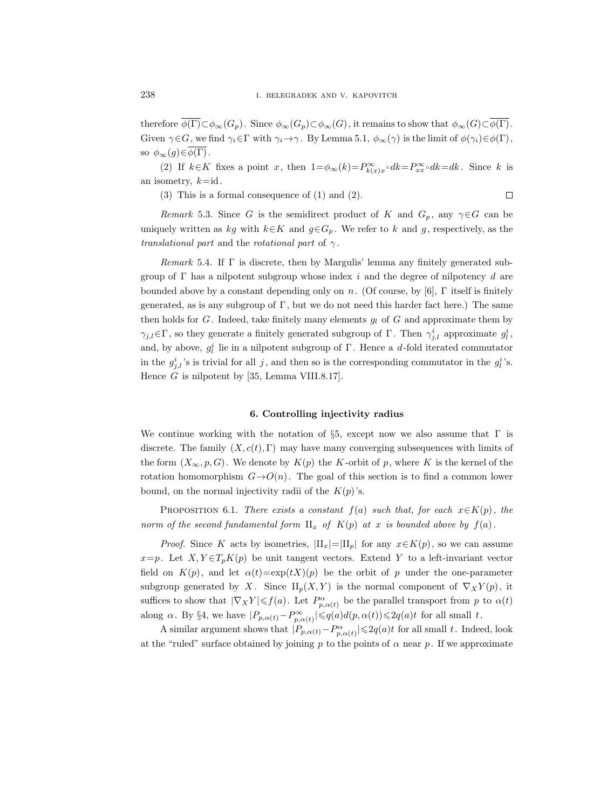therefore  $\overline{\phi(\Gamma)} \subset \phi_{\infty}(G_p)$ . Since  $\phi_{\infty}(G_p) \subset \phi_{\infty}(G)$ , it remains to show that  $\phi_{\infty}(G) \subset \overline{\phi(\Gamma)}$ . Given  $\gamma \in G$ , we find  $\gamma_i \in \Gamma$  with  $\gamma_i \to \gamma$ . By Lemma 5.1,  $\phi_\infty(\gamma)$  is the limit of  $\phi(\gamma_i) \in \phi(\Gamma)$ , so  $\phi_{\infty}(g) \in \overline{\phi(\Gamma)}$ .

(2) If  $k \in K$  fixes a point x, then  $1 = \phi_{\infty}(k) = P_{k(x)x}^{\infty} \circ dk = P_{xx}^{\infty} \circ dk = dk$ . Since k is an isometry,  $k=id$ .

 $\Box$ 

(3) This is a formal consequence of (1) and (2).

Remark 5.3. Since G is the semidirect product of K and  $G_p$ , any  $\gamma \in G$  can be uniquely written as kg with  $k \in K$  and  $g \in G_p$ . We refer to k and g, respectively, as the translational part and the rotational part of  $\gamma$ .

Remark 5.4. If  $\Gamma$  is discrete, then by Margulis' lemma any finitely generated subgroup of  $\Gamma$  has a nilpotent subgroup whose index i and the degree of nilpotency d are bounded above by a constant depending only on n. (Of course, by [6],  $\Gamma$  itself is finitely generated, as is any subgroup of  $\Gamma$ , but we do not need this harder fact here.) The same then holds for  $G$ . Indeed, take finitely many elements  $g_l$  of  $G$  and approximate them by  $\gamma_{j,l} \in \Gamma$ , so they generated subgroup of  $\Gamma$ . Then  $\gamma^i_{j,l}$  approximate  $g_l^i$ , and, by above,  $g_l^i$  lie in a nilpotent subgroup of  $\Gamma$ . Hence a d-fold iterated commutator in the  $g_{j,l}^i$ 's is trivial for all j, and then so is the corresponding commutator in the  $g_l^i$ 's. Hence  $G$  is nilpotent by [35, Lemma VIII.8.17].

## 6. Controlling injectivity radius

We continue working with the notation of §5, except now we also assume that  $\Gamma$  is discrete. The family  $(X, c(t), \Gamma)$  may have many converging subsequences with limits of the form  $(X_\infty, p, G)$ . We denote by  $K(p)$  the K-orbit of p, where K is the kernel of the rotation homomorphism  $G \rightarrow O(n)$ . The goal of this section is to find a common lower bound, on the normal injectivity radii of the  $K(p)$ 's.

PROPOSITION 6.1. There exists a constant  $f(a)$  such that, for each  $x \in K(p)$ , the norm of the second fundamental form  $\text{II}_x$  of  $K(p)$  at x is bounded above by  $f(a)$ .

*Proof.* Since K acts by isometries,  $|II_x|=|II_p|$  for any  $x \in K(p)$ , so we can assume  $x=p$ . Let  $X, Y \in T_pK(p)$  be unit tangent vectors. Extend Y to a left-invariant vector field on  $K(p)$ , and let  $\alpha(t) = \exp(tX)(p)$  be the orbit of p under the one-parameter subgroup generated by X. Since  $\text{II}_p(X, Y)$  is the normal component of  $\nabla_X Y(p)$ , it suffices to show that  $|\nabla_X Y| \leq f(a)$ . Let  $P^{\alpha}_{p,\alpha(t)}$  be the parallel transport from p to  $\alpha(t)$ along  $\alpha$ . By §4, we have  $|P_{p,\alpha(t)} - P^{\infty}_{p,\alpha(t)}| \leqslant q(a)d(p,\alpha(t)) \leqslant 2q(a)t$  for all small t.

A similar argument shows that  $|P_{p,\alpha(t)} - P_{p,\alpha(t)}^{\alpha}| \leq 2q(a)t$  for all small t. Indeed, look at the "ruled" surface obtained by joining p to the points of  $\alpha$  near p. If we approximate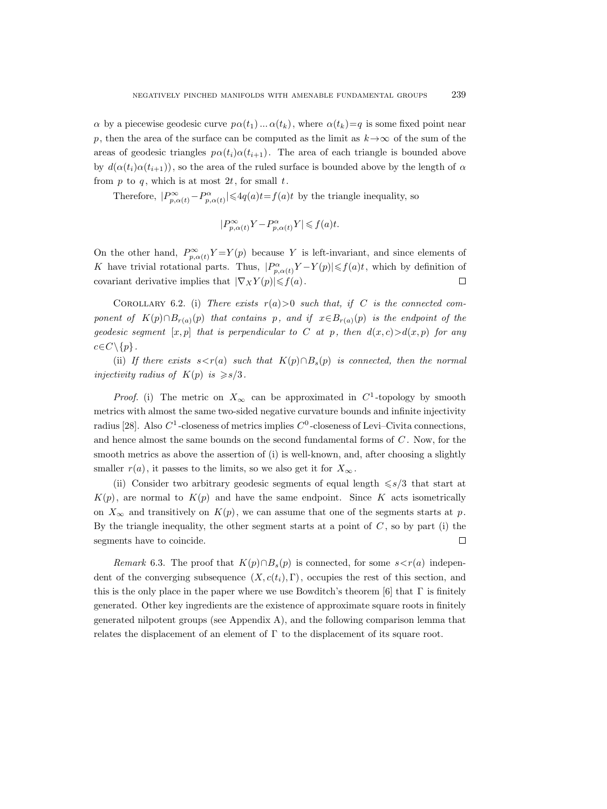$\alpha$  by a piecewise geodesic curve  $p\alpha(t_1)\dots \alpha(t_k)$ , where  $\alpha(t_k)=q$  is some fixed point near p, then the area of the surface can be computed as the limit as  $k \rightarrow \infty$  of the sum of the areas of geodesic triangles  $p\alpha(t_i)\alpha(t_{i+1})$ . The area of each triangle is bounded above by  $d(\alpha(t_i)\alpha(t_{i+1}))$ , so the area of the ruled surface is bounded above by the length of  $\alpha$ from  $p$  to  $q$ , which is at most  $2t$ , for small  $t$ .

Therefore,  $|P_{p,\alpha(t)}^{\infty} - P_{p,\alpha(t)}^{\alpha}| \leq 4q(a)t = f(a)t$  by the triangle inequality, so

$$
|P^{\infty}_{p,\alpha(t)}Y - P^{\alpha}_{p,\alpha(t)}Y| \leqslant f(a)t.
$$

On the other hand,  $P_{p,\alpha(t)}^{\infty}Y=Y(p)$  because Y is left-invariant, and since elements of K have trivial rotational parts. Thus,  $|P^{\alpha}_{p,\alpha(t)}Y-Y(p)| \leqslant f(a)t$ , which by definition of covariant derivative implies that  $|\nabla_X Y(p)| \leq f(a)$ .  $\Box$ 

COROLLARY 6.2. (i) There exists  $r(a) > 0$  such that, if C is the connected component of  $K(p) \cap B_{r(a)}(p)$  that contains p, and if  $x \in B_{r(a)}(p)$  is the endpoint of the geodesic segment  $[x, p]$  that is perpendicular to C at p, then  $d(x, c) > d(x, p)$  for any  $c \in C \setminus \{p\}.$ 

(ii) If there exists  $s < r(a)$  such that  $K(p) \cap B<sub>s</sub>(p)$  is connected, then the normal injectivity radius of  $K(p)$  is  $\geq s/3$ .

*Proof.* (i) The metric on  $X_{\infty}$  can be approximated in  $C^1$ -topology by smooth metrics with almost the same two-sided negative curvature bounds and infinite injectivity radius [28]. Also  $C^1$ -closeness of metrics implies  $C^0$ -closeness of Levi-Civita connections, and hence almost the same bounds on the second fundamental forms of C . Now, for the smooth metrics as above the assertion of (i) is well-known, and, after choosing a slightly smaller  $r(a)$ , it passes to the limits, so we also get it for  $X_{\infty}$ .

(ii) Consider two arbitrary geodesic segments of equal length  $\leq s/3$  that start at  $K(p)$ , are normal to  $K(p)$  and have the same endpoint. Since K acts isometrically on  $X_{\infty}$  and transitively on  $K(p)$ , we can assume that one of the segments starts at p. By the triangle inequality, the other segment starts at a point of  $C$ , so by part (i) the segments have to coincide.  $\Box$ 

Remark 6.3. The proof that  $K(p) \cap B_s(p)$  is connected, for some  $s < r(a)$  independent of the converging subsequence  $(X, c(t_i), \Gamma)$ , occupies the rest of this section, and this is the only place in the paper where we use Bowditch's theorem [6] that  $\Gamma$  is finitely generated. Other key ingredients are the existence of approximate square roots in finitely generated nilpotent groups (see Appendix A), and the following comparison lemma that relates the displacement of an element of  $\Gamma$  to the displacement of its square root.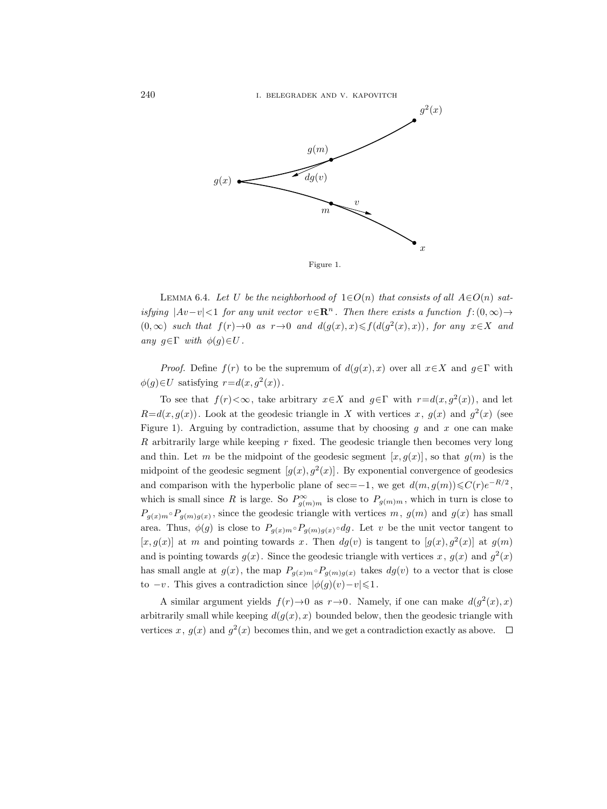

LEMMA 6.4. Let U be the neighborhood of  $1 \in O(n)$  that consists of all  $A \in O(n)$  satisfying  $|Av-v|<1$  for any unit vector  $v \in \mathbb{R}^n$ . Then there exists a function  $f:(0,\infty) \rightarrow$  $(0, \infty)$  such that  $f(r) \to 0$  as  $r \to 0$  and  $d(g(x), x) \leq f(d(g^2(x), x))$ , for any  $x \in X$  and any  $q \in \Gamma$  with  $\phi(q) \in U$ .

*Proof.* Define  $f(r)$  to be the supremum of  $d(g(x), x)$  over all  $x \in X$  and  $g \in \Gamma$  with  $\phi(g) \in U$  satisfying  $r = d(x, g^2(x))$ .

To see that  $f(r) < \infty$ , take arbitrary  $x \in X$  and  $g \in \Gamma$  with  $r = d(x, g^2(x))$ , and let  $R=d(x,g(x))$ . Look at the geodesic triangle in X with vertices x,  $g(x)$  and  $g^{2}(x)$  (see Figure 1). Arguing by contradiction, assume that by choosing q and x one can make  $R$  arbitrarily large while keeping  $r$  fixed. The geodesic triangle then becomes very long and thin. Let m be the midpoint of the geodesic segment  $[x, g(x)]$ , so that  $g(m)$  is the midpoint of the geodesic segment  $[g(x), g^2(x)]$ . By exponential convergence of geodesics and comparison with the hyperbolic plane of sec=−1, we get  $d(m, g(m)) \leq C(r)e^{-R/2}$ , which is small since R is large. So  $P_{g(m)m}^{\infty}$  is close to  $P_{g(m)m}$ , which in turn is close to  $P_{g(x)m} \circ P_{g(m)g(x)}$ , since the geodesic triangle with vertices m,  $g(m)$  and  $g(x)$  has small area. Thus,  $\phi(g)$  is close to  $P_{g(x)m} \circ P_{g(m)g(x)} \circ dg$ . Let v be the unit vector tangent to  $[x, g(x)]$  at m and pointing towards x. Then  $dg(v)$  is tangent to  $[g(x), g<sup>2</sup>(x)]$  at  $g(m)$ and is pointing towards  $g(x)$ . Since the geodesic triangle with vertices x,  $g(x)$  and  $g<sup>2</sup>(x)$ has small angle at  $g(x)$ , the map  $P_{g(x)m} \circ P_{g(m)g(x)}$  takes  $dg(v)$  to a vector that is close to  $-v$ . This gives a contradiction since  $|\phi(g)(v)-v|$ ≤1.

A similar argument yields  $f(r) \rightarrow 0$  as  $r \rightarrow 0$ . Namely, if one can make  $d(g^2(x), x)$ arbitrarily small while keeping  $d(g(x), x)$  bounded below, then the geodesic triangle with vertices x,  $g(x)$  and  $g<sup>2</sup>(x)$  becomes thin, and we get a contradiction exactly as above.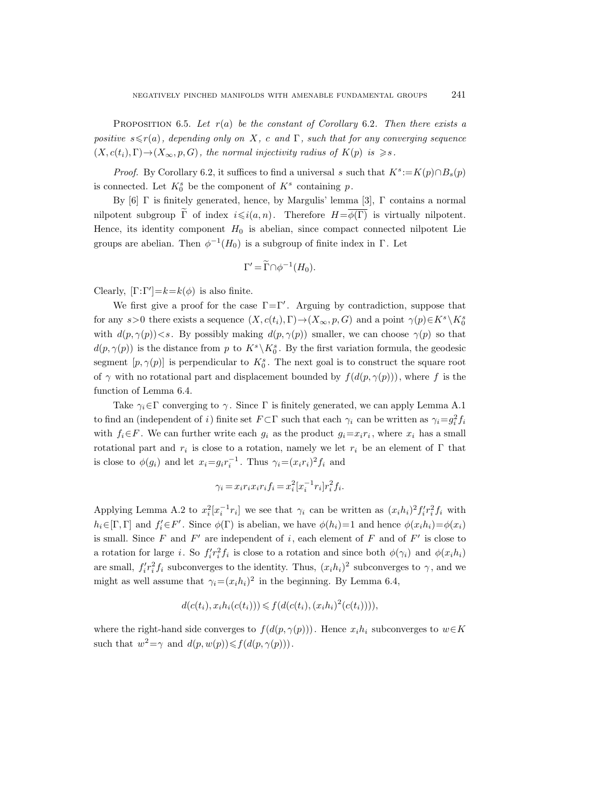PROPOSITION 6.5. Let  $r(a)$  be the constant of Corollary 6.2. Then there exists a positive  $s \leq r(a)$ , depending only on X, c and  $\Gamma$ , such that for any converging sequence  $(X, c(t_i), \Gamma) \rightarrow (X_{\infty}, p, G)$ , the normal injectivity radius of  $K(p)$  is  $\geq s$ .

*Proof.* By Corollary 6.2, it suffices to find a universal s such that  $K^s := K(p) \cap B_s(p)$ is connected. Let  $K_0^s$  be the component of  $K^s$  containing p.

By [6] Γ is finitely generated, hence, by Margulis' lemma [3], Γ contains a normal nilpotent subgroup  $\widetilde{\Gamma}$  of index  $i \leqslant i(a, n)$ . Therefore  $H = \overline{\phi(\Gamma)}$  is virtually nilpotent. Hence, its identity component  $H_0$  is abelian, since compact connected nilpotent Lie groups are abelian. Then  $\phi^{-1}(H_0)$  is a subgroup of finite index in  $\Gamma$ . Let

$$
\Gamma' = \widetilde{\Gamma} \cap \phi^{-1}(H_0).
$$

Clearly,  $[\Gamma:\Gamma'] = k = k(\phi)$  is also finite.

We first give a proof for the case  $\Gamma = \Gamma'$ . Arguing by contradiction, suppose that for any  $s > 0$  there exists a sequence  $(X, c(t_i), \Gamma) \to (X_\infty, p, G)$  and a point  $\gamma(p) \in K^s \backslash K_0^s$ with  $d(p, \gamma(p)) < s$ . By possibly making  $d(p, \gamma(p))$  smaller, we can choose  $\gamma(p)$  so that  $d(p, \gamma(p))$  is the distance from p to  $K^s \backslash K_0^s$ . By the first variation formula, the geodesic segment  $[p, \gamma(p)]$  is perpendicular to  $K_0^s$ . The next goal is to construct the square root of  $\gamma$  with no rotational part and displacement bounded by  $f(d(p, \gamma(p)))$ , where f is the function of Lemma 6.4.

Take  $\gamma_i \in \Gamma$  converging to  $\gamma$ . Since  $\Gamma$  is finitely generated, we can apply Lemma A.1 to find an (independent of i) finite set  $F \subset \Gamma$  such that each  $\gamma_i$  can be written as  $\gamma_i = g_i^2 f_i$ with  $f_i \in F$ . We can further write each  $g_i$  as the product  $g_i = x_i r_i$ , where  $x_i$  has a small rotational part and  $r_i$  is close to a rotation, namely we let  $r_i$  be an element of  $\Gamma$  that is close to  $\phi(g_i)$  and let  $x_i = g_i r_i^{-1}$ . Thus  $\gamma_i = (x_i r_i)^2 f_i$  and

$$
\gamma_i = x_i r_i x_i r_i f_i = x_i^2 [x_i^{-1} r_i] r_i^2 f_i.
$$

Applying Lemma A.2 to  $x_i^2[x_i^{-1}r_i]$  we see that  $\gamma_i$  can be written as  $(x_ih_i)^2f'_ir_i^2f_i$  with  $h_i \in [\Gamma, \Gamma]$  and  $f'_i \in F'$ . Since  $\phi(\Gamma)$  is abelian, we have  $\phi(h_i)=1$  and hence  $\phi(x_i h_i)=\phi(x_i)$ is small. Since F and  $F'$  are independent of i, each element of F and of  $F'$  is close to a rotation for large i. So  $f'_i r_i^2 f_i$  is close to a rotation and since both  $\phi(\gamma_i)$  and  $\phi(x_i h_i)$ are small,  $f_i' r_i^2 f_i$  subconverges to the identity. Thus,  $(x_i h_i)^2$  subconverges to  $\gamma$ , and we might as well assume that  $\gamma_i = (x_i h_i)^2$  in the beginning. By Lemma 6.4,

$$
d(c(t_i), x_i h_i(c(t_i))) \leq f(d(c(t_i), (x_i h_i)^2(c(t_i)))),
$$

where the right-hand side converges to  $f(d(p, \gamma(p)))$ . Hence  $x_i h_i$  subconverges to  $w \in K$ such that  $w^2 = \gamma$  and  $d(p, w(p)) \leq f(d(p, \gamma(p)))$ .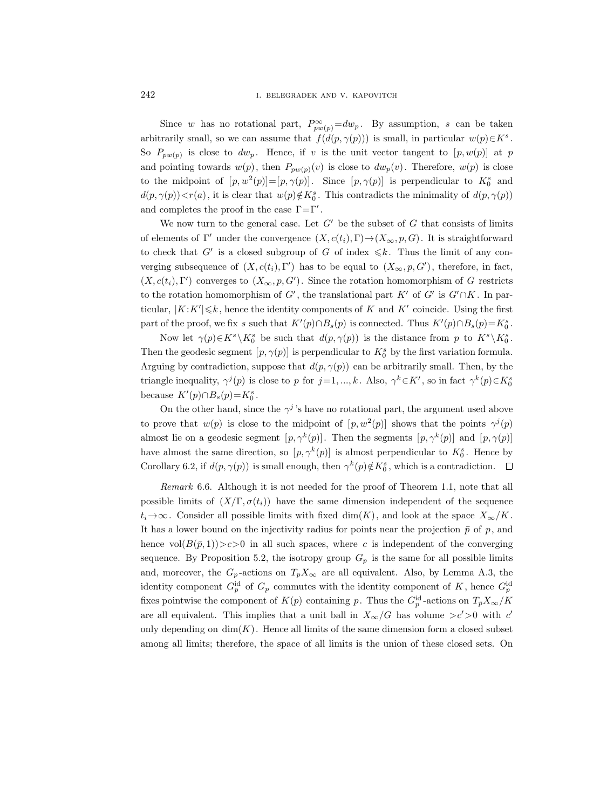Since w has no rotational part,  $P_{pw(p)}^{\infty} = dw_p$ . By assumption, s can be taken arbitrarily small, so we can assume that  $f(d(p, \gamma(p)))$  is small, in particular  $w(p) \in K^s$ . So  $P_{pw(p)}$  is close to  $dw_p$ . Hence, if v is the unit vector tangent to  $[p, w(p)]$  at p and pointing towards  $w(p)$ , then  $P_{pw(p)}(v)$  is close to  $dw_p(v)$ . Therefore,  $w(p)$  is close to the midpoint of  $[p, w^2(p)] = [p, \gamma(p)]$ . Since  $[p, \gamma(p)]$  is perpendicular to  $K_0^s$  and  $d(p, \gamma(p)) < r(a)$ , it is clear that  $w(p) \notin K_0^s$ . This contradicts the minimality of  $d(p, \gamma(p))$ and completes the proof in the case  $\Gamma = \Gamma'$ .

We now turn to the general case. Let  $G'$  be the subset of G that consists of limits of elements of Γ' under the convergence  $(X, c(t_i), \Gamma) \rightarrow (X_\infty, p, G)$ . It is straightforward to check that G' is a closed subgroup of G of index  $\leq k$ . Thus the limit of any converging subsequence of  $(X, c(t_i), \Gamma')$  has to be equal to  $(X_{\infty}, p, G')$ , therefore, in fact,  $(X, c(t_i), \Gamma')$  converges to  $(X_{\infty}, p, G')$ . Since the rotation homomorphism of G restricts to the rotation homomorphism of G', the translational part K' of G' is  $G' \cap K$ . In particular,  $|K:K'|\leqslant k$ , hence the identity components of K and K' coincide. Using the first part of the proof, we fix s such that  $K'(p) \cap B_s(p)$  is connected. Thus  $K'(p) \cap B_s(p) = K_0^s$ .

Now let  $\gamma(p) \in K^s \backslash K_0^s$  be such that  $d(p, \gamma(p))$  is the distance from p to  $K^s \backslash K_0^s$ . Then the geodesic segment  $[p, \gamma(p)]$  is perpendicular to  $K_0^s$  by the first variation formula. Arguing by contradiction, suppose that  $d(p, \gamma(p))$  can be arbitrarily small. Then, by the triangle inequality,  $\gamma^{j}(p)$  is close to p for  $j=1,\ldots,k$ . Also,  $\gamma^{k} \in K'$ , so in fact  $\gamma^{k}(p) \in K_{0}^{s}$ because  $K'(p) \cap B_s(p) = K_0^s$ .

On the other hand, since the  $\gamma^j$ 's have no rotational part, the argument used above to prove that  $w(p)$  is close to the midpoint of  $[p, w^2(p)]$  shows that the points  $\gamma^{j}(p)$ almost lie on a geodesic segment  $[p, \gamma^k(p)]$ . Then the segments  $[p, \gamma^k(p)]$  and  $[p, \gamma(p)]$ have almost the same direction, so  $[p, \gamma^k(p)]$  is almost perpendicular to  $K_0^s$ . Hence by Corollary 6.2, if  $d(p, \gamma(p))$  is small enough, then  $\gamma^k(p) \notin K_0^s$ , which is a contradiction.

Remark 6.6. Although it is not needed for the proof of Theorem 1.1, note that all possible limits of  $(X/\Gamma, \sigma(t_i))$  have the same dimension independent of the sequence  $t_i \rightarrow \infty$ . Consider all possible limits with fixed dim(K), and look at the space  $X_\infty/K$ . It has a lower bound on the injectivity radius for points near the projection  $\bar{p}$  of p, and hence  $vol(B(\bar{p}, 1))\geq c>0$  in all such spaces, where c is independent of the converging sequence. By Proposition 5.2, the isotropy group  $G_p$  is the same for all possible limits and, moreover, the  $G_p$ -actions on  $T_pX_\infty$  are all equivalent. Also, by Lemma A.3, the identity component  $G_p^{\rm id}$  of  $G_p$  commutes with the identity component of K, hence  $G_p^{\rm id}$ fixes pointwise the component of  $K(p)$  containing p. Thus the  $G_p^{\rm id}$ -actions on  $T_{\bar{p}}X_{\infty}/K$ are all equivalent. This implies that a unit ball in  $X_{\infty}/G$  has volume  $>c' > 0$  with  $c'$ only depending on  $\dim(K)$ . Hence all limits of the same dimension form a closed subset among all limits; therefore, the space of all limits is the union of these closed sets. On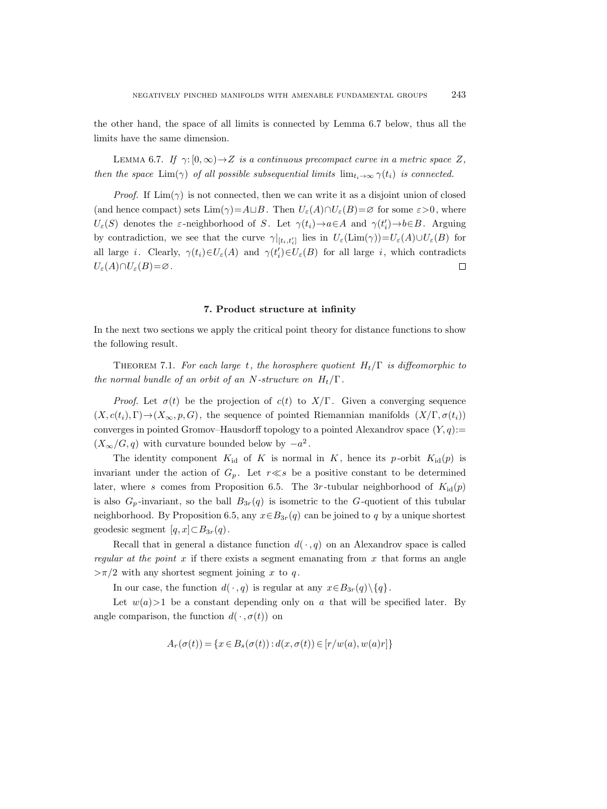the other hand, the space of all limits is connected by Lemma 6.7 below, thus all the limits have the same dimension.

LEMMA 6.7. If  $\gamma: [0, \infty) \to Z$  is a continuous precompact curve in a metric space Z, then the space  $\text{Lim}(\gamma)$  of all possible subsequential limits  $\lim_{t_i \to \infty} \gamma(t_i)$  is connected.

*Proof.* If  $\text{Lim}(\gamma)$  is not connected, then we can write it as a disjoint union of closed (and hence compact) sets  $\text{Lim}(\gamma) = A \sqcup B$ . Then  $U_{\varepsilon}(A) \cap U_{\varepsilon}(B) = \varnothing$  for some  $\varepsilon > 0$ , where  $U_{\varepsilon}(S)$  denotes the  $\varepsilon$ -neighborhood of S. Let  $\gamma(t_i) \rightarrow a \in A$  and  $\gamma(t'_i) \rightarrow b \in B$ . Arguing by contradiction, we see that the curve  $\gamma|_{[t_i,t'_i]}$  lies in  $U_{\varepsilon}(\text{Lim}(\gamma))=U_{\varepsilon}(A)\cup U_{\varepsilon}(B)$  for all large *i*. Clearly,  $\gamma(t_i) \in U_{\varepsilon}(A)$  and  $\gamma(t'_i) \in U_{\varepsilon}(B)$  for all large *i*, which contradicts  $U_{\varepsilon}(A) \cap U_{\varepsilon}(B) = \varnothing$ .  $\Box$ 

## 7. Product structure at infinity

In the next two sections we apply the critical point theory for distance functions to show the following result.

THEOREM 7.1. For each large t, the horosphere quotient  $H_t/\Gamma$  is diffeomorphic to the normal bundle of an orbit of an N-structure on  $H_t/\Gamma$ .

*Proof.* Let  $\sigma(t)$  be the projection of  $c(t)$  to  $X/\Gamma$ . Given a converging sequence  $(X, c(t_i), \Gamma) \rightarrow (X_{\infty}, p, G)$ , the sequence of pointed Riemannian manifolds  $(X/\Gamma, \sigma(t_i))$ converges in pointed Gromov–Hausdorff topology to a pointed Alexandrov space  $(Y, q):=$  $(X_\infty/G, q)$  with curvature bounded below by  $-a^2$ .

The identity component  $K_{\rm id}$  of K is normal in K, hence its p-orbit  $K_{\rm id}(p)$  is invariant under the action of  $G_p$ . Let  $r \ll s$  be a positive constant to be determined later, where s comes from Proposition 6.5. The 3r-tubular neighborhood of  $K_{\text{id}}(p)$ is also  $G_p$ -invariant, so the ball  $B_{3r}(q)$  is isometric to the G-quotient of this tubular neighborhood. By Proposition 6.5, any  $x \in B_{3r}(q)$  can be joined to q by a unique shortest geodesic segment  $[q, x] \subset B_{3r}(q)$ .

Recall that in general a distance function  $d(\cdot, q)$  on an Alexandrov space is called regular at the point  $x$  if there exists a segment emanating from  $x$  that forms an angle  $>\pi/2$  with any shortest segment joining x to q.

In our case, the function  $d(\cdot, q)$  is regular at any  $x \in B_{3r}(q) \setminus \{q\}.$ 

Let  $w(a)$ >1 be a constant depending only on a that will be specified later. By angle comparison, the function  $d(\cdot, \sigma(t))$  on

$$
A_r(\sigma(t)) = \{ x \in B_s(\sigma(t)) : d(x, \sigma(t)) \in [r/w(a), w(a)r] \}
$$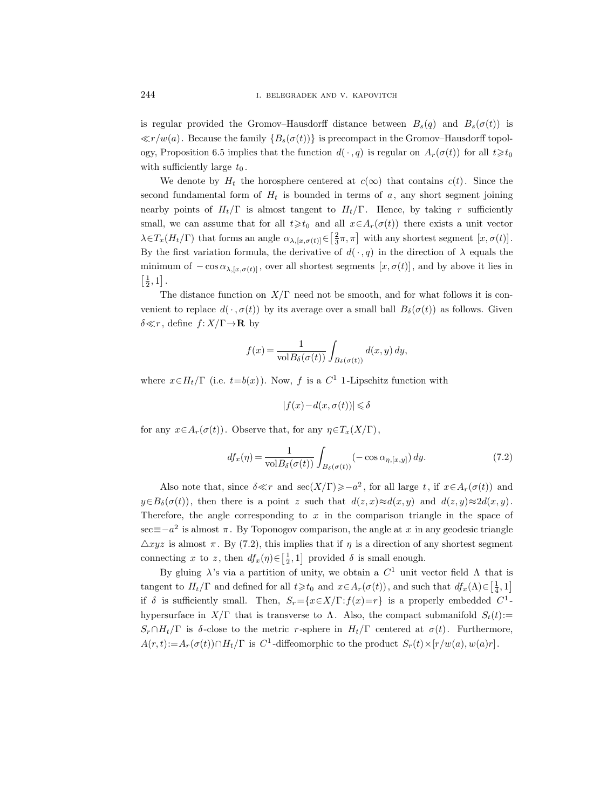is regular provided the Gromov–Hausdorff distance between  $B_s(q)$  and  $B_s(\sigma(t))$  is  $\ll r/w(a)$ . Because the family  $\{B_s(\sigma(t))\}$  is precompact in the Gromov–Hausdorff topology, Proposition 6.5 implies that the function  $d(\cdot, q)$  is regular on  $A_r(\sigma(t))$  for all  $t \geq t_0$ with sufficiently large  $t_0$ .

We denote by  $H_t$  the horosphere centered at  $c(\infty)$  that contains  $c(t)$ . Since the second fundamental form of  $H_t$  is bounded in terms of  $a$ , any short segment joining nearby points of  $H_t/\Gamma$  is almost tangent to  $H_t/\Gamma$ . Hence, by taking r sufficiently small, we can assume that for all  $t\geq t_0$  and all  $x\in A_r(\sigma(t))$  there exists a unit vector  $\lambda \in T_x(H_t/\Gamma)$  that forms an angle  $\alpha_{\lambda,[x,\sigma(t)]} \in \left[\frac{2}{3}\pi,\pi\right]$  with any shortest segment  $[x,\sigma(t)]$ . By the first variation formula, the derivative of  $d(\cdot, q)$  in the direction of  $\lambda$  equals the minimum of  $-\cos \alpha_{\lambda,[x,\sigma(t)]}$ , over all shortest segments  $[x,\sigma(t)]$ , and by above it lies in  $\left[\frac{1}{2},1\right]$ .

The distance function on  $X/\Gamma$  need not be smooth, and for what follows it is convenient to replace  $d(\cdot, \sigma(t))$  by its average over a small ball  $B_{\delta}(\sigma(t))$  as follows. Given  $\delta \ll r$ , define  $f: X/\Gamma \rightarrow \mathbf{R}$  by

$$
f(x) = \frac{1}{\text{vol}B_{\delta}(\sigma(t))} \int_{B_{\delta}(\sigma(t))} d(x, y) dy,
$$

where  $x \in H_t/\Gamma$  (i.e.  $t = b(x)$ ). Now, f is a  $C^1$  1-Lipschitz function with

$$
|f(x) - d(x, \sigma(t))| \leq \delta
$$

for any  $x \in A_r(\sigma(t))$ . Observe that, for any  $\eta \in T_x(X/\Gamma)$ ,

$$
df_x(\eta) = \frac{1}{\text{vol}B_\delta(\sigma(t))} \int_{B_\delta(\sigma(t))} (-\cos \alpha_{\eta,[x,y]}) \, dy. \tag{7.2}
$$

Also note that, since  $\delta \ll r$  and sec(X/Γ) $\geqslant -a^2$ , for all large t, if  $x \in A_r(\sigma(t))$  and  $y\in B_\delta(\sigma(t))$ , then there is a point z such that  $d(z, x) \approx d(x, y)$  and  $d(z, y) \approx 2d(x, y)$ . Therefore, the angle corresponding to  $x$  in the comparison triangle in the space of sec≡−a<sup>2</sup> is almost  $\pi$ . By Toponogov comparison, the angle at x in any geodesic triangle  $\triangle xyz$  is almost  $\pi$ . By (7.2), this implies that if  $\eta$  is a direction of any shortest segment connecting x to z, then  $df_x(\eta) \in \left[\frac{1}{2}, 1\right]$  provided  $\delta$  is small enough.

By gluing  $\lambda$ 's via a partition of unity, we obtain a  $C^1$  unit vector field  $\Lambda$  that is tangent to  $H_t/\Gamma$  and defined for all  $t \geq t_0$  and  $x \in A_r(\sigma(t))$ , and such that  $df_x(\Lambda) \in \left[\frac{1}{4}, 1\right]$ if  $\delta$  is sufficiently small. Then,  $S_r = \{x \in X/\Gamma : f(x) = r\}$  is a properly embedded  $C^1$ hypersurface in  $X/\Gamma$  that is transverse to  $\Lambda$ . Also, the compact submanifold  $S_t(t)$ :  $S_r \cap H_t/\Gamma$  is δ-close to the metric r-sphere in  $H_t/\Gamma$  centered at  $\sigma(t)$ . Furthermore,  $A(r,t) := A_r(\sigma(t)) \cap H_t/\Gamma$  is  $C^1$ -diffeomorphic to the product  $S_r(t) \times [r/w(a), w(a)r]$ .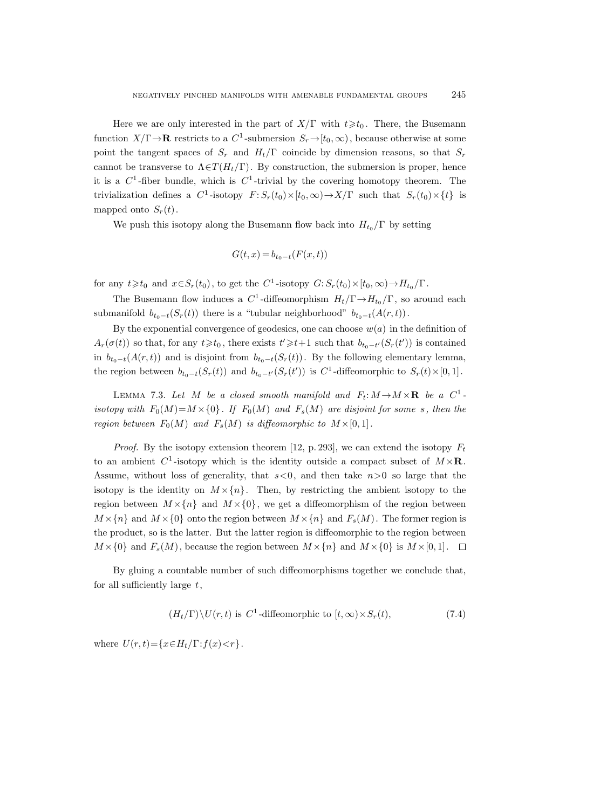Here we are only interested in the part of  $X/\Gamma$  with  $t \geq t_0$ . There, the Busemann function  $X/\Gamma \rightarrow \mathbf{R}$  restricts to a  $C^1$ -submersion  $S_r \rightarrow [t_0, \infty)$ , because otherwise at some point the tangent spaces of  $S_r$  and  $H_t/\Gamma$  coincide by dimension reasons, so that  $S_r$ cannot be transverse to  $\Lambda \in T(H_t/\Gamma)$ . By construction, the submersion is proper, hence it is a  $C^1$ -fiber bundle, which is  $C^1$ -trivial by the covering homotopy theorem. The trivialization defines a  $C^1$ -isotopy  $F: S_r(t_0) \times [t_0, \infty) \to X/\Gamma$  such that  $S_r(t_0) \times \{t\}$  is mapped onto  $S_r(t)$ .

We push this isotopy along the Busemann flow back into  $H_{t_0}/\Gamma$  by setting

$$
G(t,x) = b_{t_0-t}(F(x,t))
$$

for any  $t \geq t_0$  and  $x \in S_r(t_0)$ , to get the  $C^1$ -isotopy  $G: S_r(t_0) \times [t_0, \infty) \to H_{t_0}/\Gamma$ .

The Busemann flow induces a  $C^1$ -diffeomorphism  $H_t/\Gamma \rightarrow H_{t_0}/\Gamma$ , so around each submanifold  $b_{t_0-t}(S_r(t))$  there is a "tubular neighborhood"  $b_{t_0-t}(A(r,t))$ .

By the exponential convergence of geodesics, one can choose  $w(a)$  in the definition of  $A_r(\sigma(t))$  so that, for any  $t \geq t_0$ , there exists  $t' \geq t+1$  such that  $b_{t_0-t'}(S_r(t'))$  is contained in  $b_{t_0-t}(A(r,t))$  and is disjoint from  $b_{t_0-t}(S_r(t))$ . By the following elementary lemma, the region between  $b_{t_0-t}(S_r(t))$  and  $b_{t_0-t'}(S_r(t'))$  is  $C^1$ -diffeomorphic to  $S_r(t)\times[0,1]$ .

LEMMA 7.3. Let M be a closed smooth manifold and  $F_t: M \to M \times \mathbf{R}$  be a  $C^1$ . isotopy with  $F_0(M)=M\times\{0\}$ . If  $F_0(M)$  and  $F_s(M)$  are disjoint for some s, then the region between  $F_0(M)$  and  $F_s(M)$  is diffeomorphic to  $M \times [0, 1]$ .

*Proof.* By the isotopy extension theorem [12, p. 293], we can extend the isotopy  $F_t$ to an ambient  $C^1$ -isotopy which is the identity outside a compact subset of  $M \times \mathbf{R}$ . Assume, without loss of generality, that  $s<0$ , and then take  $n>0$  so large that the isotopy is the identity on  $M \times \{n\}$ . Then, by restricting the ambient isotopy to the region between  $M \times \{n\}$  and  $M \times \{0\}$ , we get a diffeomorphism of the region between  $M \times \{n\}$  and  $M \times \{0\}$  onto the region between  $M \times \{n\}$  and  $F_s(M)$ . The former region is the product, so is the latter. But the latter region is diffeomorphic to the region between  $M \times \{0\}$  and  $F_s(M)$ , because the region between  $M \times \{n\}$  and  $M \times \{0\}$  is  $M \times [0, 1]$ .

By gluing a countable number of such diffeomorphisms together we conclude that, for all sufficiently large  $t$ ,

$$
(H_t/\Gamma)\backslash U(r,t) \text{ is } C^1\text{-diffeomorphic to } [t,\infty)\times S_r(t),\tag{7.4}
$$

where  $U(r,t) = \{x \in H_t/\Gamma : f(x) < r\}.$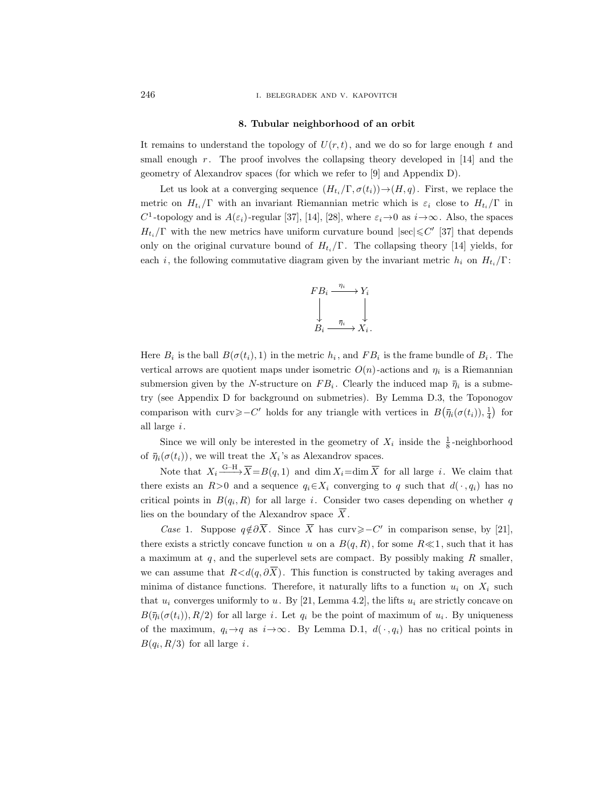246 **i.** belegradek and v. kapovitch

#### 8. Tubular neighborhood of an orbit

It remains to understand the topology of  $U(r, t)$ , and we do so for large enough t and small enough  $r$ . The proof involves the collapsing theory developed in [14] and the geometry of Alexandrov spaces (for which we refer to [9] and Appendix D).

Let us look at a converging sequence  $(H_{t_i}/\Gamma, \sigma(t_i)) \rightarrow (H, q)$ . First, we replace the metric on  $H_{t_i}/\Gamma$  with an invariant Riemannian metric which is  $\varepsilon_i$  close to  $H_{t_i}/\Gamma$  in C<sup>1</sup>-topology and is  $A(\varepsilon_i)$ -regular [37], [14], [28], where  $\varepsilon_i \to 0$  as  $i \to \infty$ . Also, the spaces  $H_{t_i}/\Gamma$  with the new metrics have uniform curvature bound  $|\sec|\leqslant C'$  [37] that depends only on the original curvature bound of  $H_{t_i}/\Gamma$ . The collapsing theory [14] yields, for each i, the following commutative diagram given by the invariant metric  $h_i$  on  $H_{t_i}/\Gamma$ :



Here  $B_i$  is the ball  $B(\sigma(t_i), 1)$  in the metric  $h_i$ , and  $FB_i$  is the frame bundle of  $B_i$ . The vertical arrows are quotient maps under isometric  $O(n)$ -actions and  $\eta_i$  is a Riemannian submersion given by the N-structure on  $FB_i$ . Clearly the induced map  $\bar{\eta}_i$  is a submetry (see Appendix D for background on submetries). By Lemma D.3, the Toponogov comparison with curv $\geq -C'$  holds for any triangle with vertices in  $B(\bar{\eta}_i(\sigma(t_i)), \frac{1}{4})$  for all large i.

Since we will only be interested in the geometry of  $X_i$  inside the  $\frac{1}{8}$ -neighborhood of  $\bar{\eta}_i(\sigma(t_i))$ , we will treat the  $X_i$ 's as Alexandrov spaces.

Note that  $X_i \xrightarrow{G-H} \overline{X} = B(q, 1)$  and dim  $X_i = \dim \overline{X}$  for all large *i*. We claim that there exists an  $R>0$  and a sequence  $q_i \in X_i$  converging to q such that  $d(\cdot, q_i)$  has no critical points in  $B(q_i, R)$  for all large i. Consider two cases depending on whether q lies on the boundary of the Alexandrov space  $\overline{X}$ .

*Case* 1. Suppose  $q \notin \partial \overline{X}$ . Since  $\overline{X}$  has curv≥–*C'* in comparison sense, by [21], there exists a strictly concave function u on a  $B(q, R)$ , for some  $R \ll 1$ , such that it has a maximum at  $q$ , and the superlevel sets are compact. By possibly making  $R$  smaller, we can assume that  $R < d(q, \partial \overline{X})$ . This function is constructed by taking averages and minima of distance functions. Therefore, it naturally lifts to a function  $u_i$  on  $X_i$  such that  $u_i$  converges uniformly to u. By [21, Lemma 4.2], the lifts  $u_i$  are strictly concave on  $B(\bar{\eta}_i(\sigma(t_i)), R/2)$  for all large *i*. Let  $q_i$  be the point of maximum of  $u_i$ . By uniqueness of the maximum,  $q_i \rightarrow q$  as  $i \rightarrow \infty$ . By Lemma D.1,  $d(\cdot, q_i)$  has no critical points in  $B(q_i, R/3)$  for all large i.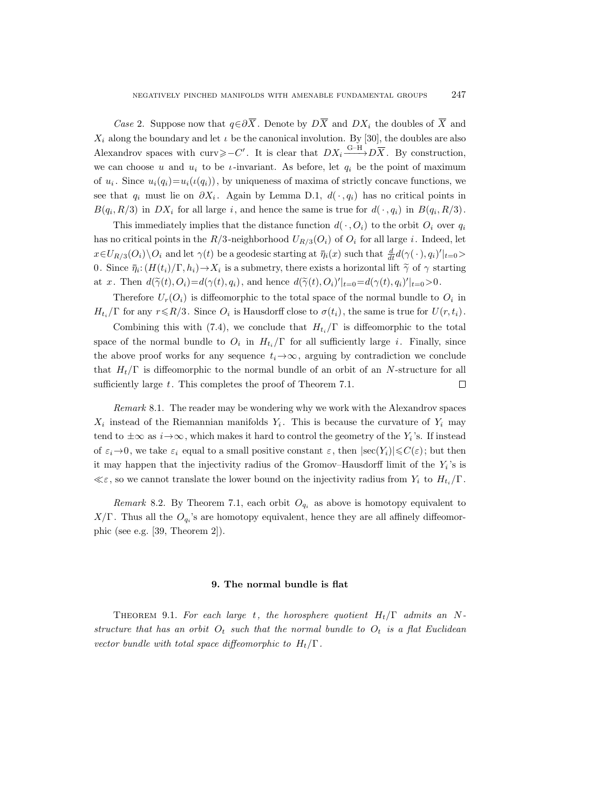Case 2. Suppose now that  $q \in \partial \overline{X}$ . Denote by  $D\overline{X}$  and  $DX_i$  the doubles of  $\overline{X}$  and  $X_i$  along the boundary and let  $\iota$  be the canonical involution. By [30], the doubles are also Alexandrov spaces with curv $\geq -C'$ . It is clear that  $DX_i \xrightarrow{G-H} D\overline{X}$ . By construction, we can choose u and  $u_i$  to be *ι*-invariant. As before, let  $q_i$  be the point of maximum of  $u_i$ . Since  $u_i(q_i) = u_i(\iota(q_i))$ , by uniqueness of maxima of strictly concave functions, we see that  $q_i$  must lie on  $\partial X_i$ . Again by Lemma D.1,  $d(\cdot, q_i)$  has no critical points in  $B(q_i, R/3)$  in  $DX_i$  for all large i, and hence the same is true for  $d(\cdot, q_i)$  in  $B(q_i, R/3)$ .

This immediately implies that the distance function  $d(\cdot, O_i)$  to the orbit  $O_i$  over  $q_i$ has no critical points in the  $R/3$ -neighborhood  $U_{R/3}(O_i)$  of  $O_i$  for all large i. Indeed, let  $x \in U_{R/3}(O_i) \backslash O_i$  and let  $\gamma(t)$  be a geodesic starting at  $\bar{\eta}_i(x)$  such that  $\frac{d}{dt}d(\gamma(\cdot), q_i)'|_{t=0} >$ 0. Since  $\bar{\eta}_i$ :  $(H(t_i)/\Gamma, h_i) \to X_i$  is a submetry, there exists a horizontal lift  $\tilde{\gamma}$  of  $\gamma$  starting at x. Then  $d(\tilde{\gamma}(t), O_i) = d(\gamma(t), q_i)$ , and hence  $d(\tilde{\gamma}(t), O_i)'|_{t=0} = d(\gamma(t), q_i)'|_{t=0} > 0$ .

Therefore  $U_r(O_i)$  is diffeomorphic to the total space of the normal bundle to  $O_i$  in  $H_{t_i}/\Gamma$  for any  $r \le R/3$ . Since  $O_i$  is Hausdorff close to  $\sigma(t_i)$ , the same is true for  $U(r, t_i)$ .

Combining this with (7.4), we conclude that  $H_{t_i}/\Gamma$  is diffeomorphic to the total space of the normal bundle to  $O_i$  in  $H_{t_i}/\Gamma$  for all sufficiently large i. Finally, since the above proof works for any sequence  $t_i \rightarrow \infty$ , arguing by contradiction we conclude that  $H_t/\Gamma$  is diffeomorphic to the normal bundle of an orbit of an N-structure for all sufficiently large t. This completes the proof of Theorem 7.1.  $\Box$ 

Remark 8.1. The reader may be wondering why we work with the Alexandrov spaces  $X_i$  instead of the Riemannian manifolds  $Y_i$ . This is because the curvature of  $Y_i$  may tend to  $\pm\infty$  as  $i\rightarrow\infty$ , which makes it hard to control the geometry of the  $Y_i$ 's. If instead of  $\varepsilon_i \to 0$ , we take  $\varepsilon_i$  equal to a small positive constant  $\varepsilon$ , then  $|\sec(Y_i)| \leq C(\varepsilon)$ ; but then it may happen that the injectivity radius of the Gromov–Hausdorff limit of the  $Y_i$ 's is  $\ll \varepsilon$ , so we cannot translate the lower bound on the injectivity radius from  $Y_i$  to  $H_{t_i}/\Gamma$ .

Remark 8.2. By Theorem 7.1, each orbit  $O_{q_i}$  as above is homotopy equivalent to  $X/\Gamma$ . Thus all the  $O_{q_i}$ 's are homotopy equivalent, hence they are all affinely diffeomorphic (see e.g. [39, Theorem 2]).

#### 9. The normal bundle is flat

THEOREM 9.1. For each large t, the horosphere quotient  $H_t/\Gamma$  admits an Nstructure that has an orbit  $O_t$  such that the normal bundle to  $O_t$  is a flat Euclidean vector bundle with total space diffeomorphic to  $H_t/\Gamma$ .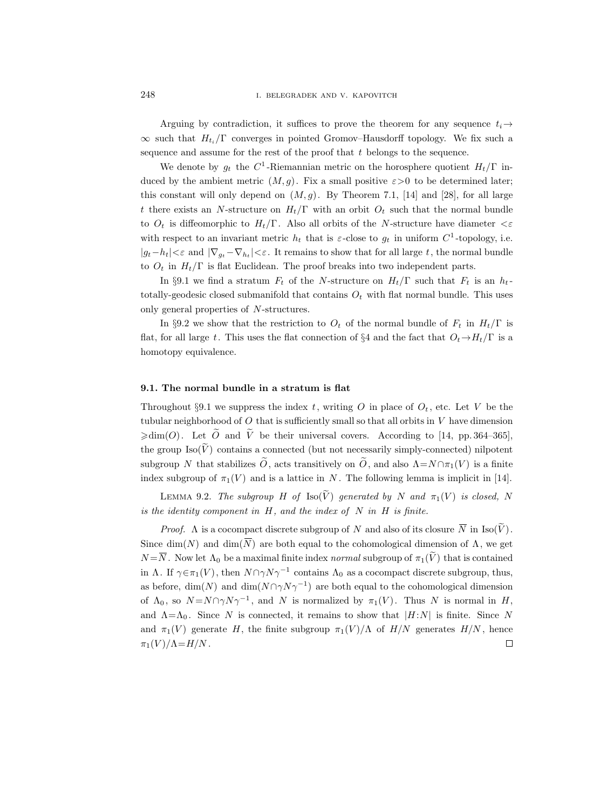Arguing by contradiction, it suffices to prove the theorem for any sequence  $t_i \rightarrow$  $\infty$  such that  $H_{t_i}/\Gamma$  converges in pointed Gromov–Hausdorff topology. We fix such a sequence and assume for the rest of the proof that  $t$  belongs to the sequence.

We denote by  $g_t$  the  $C^1$ -Riemannian metric on the horosphere quotient  $H_t/\Gamma$  induced by the ambient metric  $(M, g)$ . Fix a small positive  $\varepsilon > 0$  to be determined later; this constant will only depend on  $(M, g)$ . By Theorem 7.1, [14] and [28], for all large t there exists an N-structure on  $H_t/\Gamma$  with an orbit  $O_t$  such that the normal bundle to  $O_t$  is diffeomorphic to  $H_t/\Gamma$ . Also all orbits of the N-structure have diameter  $\lt \varepsilon$ with respect to an invariant metric  $h_t$  that is  $\varepsilon$ -close to  $g_t$  in uniform  $C^1$ -topology, i.e.  $|g_t-h_t|<\varepsilon$  and  $|\nabla_{g_t}-\nabla_{h_t}|<\varepsilon$ . It remains to show that for all large t, the normal bundle to  $O_t$  in  $H_t/\Gamma$  is flat Euclidean. The proof breaks into two independent parts.

In §9.1 we find a stratum  $F_t$  of the N-structure on  $H_t/\Gamma$  such that  $F_t$  is an  $h_t$ totally-geodesic closed submanifold that contains  $O_t$  with flat normal bundle. This uses only general properties of N-structures.

In §9.2 we show that the restriction to  $O_t$  of the normal bundle of  $F_t$  in  $H_t/\Gamma$  is flat, for all large t. This uses the flat connection of §4 and the fact that  $O_t \rightarrow H_t/\Gamma$  is a homotopy equivalence.

## 9.1. The normal bundle in a stratum is flat

Throughout §9.1 we suppress the index t, writing O in place of  $O_t$ , etc. Let V be the tubular neighborhood of  $O$  that is sufficiently small so that all orbits in  $V$  have dimension  $\geq \dim(O)$ . Let  $\widetilde{O}$  and  $\widetilde{V}$  be their universal covers. According to [14, pp. 364–365], the group Iso( $\tilde{V}$ ) contains a connected (but not necessarily simply-connected) nilpotent subgroup N that stabilizes  $\tilde{O}$ , acts transitively on  $\tilde{O}$ , and also  $\Lambda = N \cap \pi_1(V)$  is a finite index subgroup of  $\pi_1(V)$  and is a lattice in N. The following lemma is implicit in [14].

LEMMA 9.2. The subgroup H of Iso( $\tilde{V}$ ) generated by N and  $\pi_1(V)$  is closed, N is the identity component in  $H$ , and the index of  $N$  in  $H$  is finite.

*Proof.* A is a cocompact discrete subgroup of N and also of its closure  $\overline{N}$  in Iso( $\tilde{V}$ ). Since  $\dim(N)$  and  $\dim(\overline{N})$  are both equal to the cohomological dimension of  $\Lambda$ , we get  $N = \overline{N}$ . Now let  $\Lambda_0$  be a maximal finite index normal subgroup of  $\pi_1(\tilde{V})$  that is contained in  $\Lambda$ . If  $\gamma \in \pi_1(V)$ , then  $N \cap \gamma N \gamma^{-1}$  contains  $\Lambda_0$  as a cocompact discrete subgroup, thus, as before,  $\dim(N)$  and  $\dim(N \cap \gamma N \gamma^{-1})$  are both equal to the cohomological dimension of  $\Lambda_0$ , so  $N = N \cap \gamma N \gamma^{-1}$ , and N is normalized by  $\pi_1(V)$ . Thus N is normal in H, and  $\Lambda = \Lambda_0$ . Since N is connected, it remains to show that  $|H:N|$  is finite. Since N and  $\pi_1(V)$  generate H, the finite subgroup  $\pi_1(V)/\Lambda$  of  $H/N$  generates  $H/N$ , hence  $\pi_1(V)/\Lambda = H/N$ .  $\Box$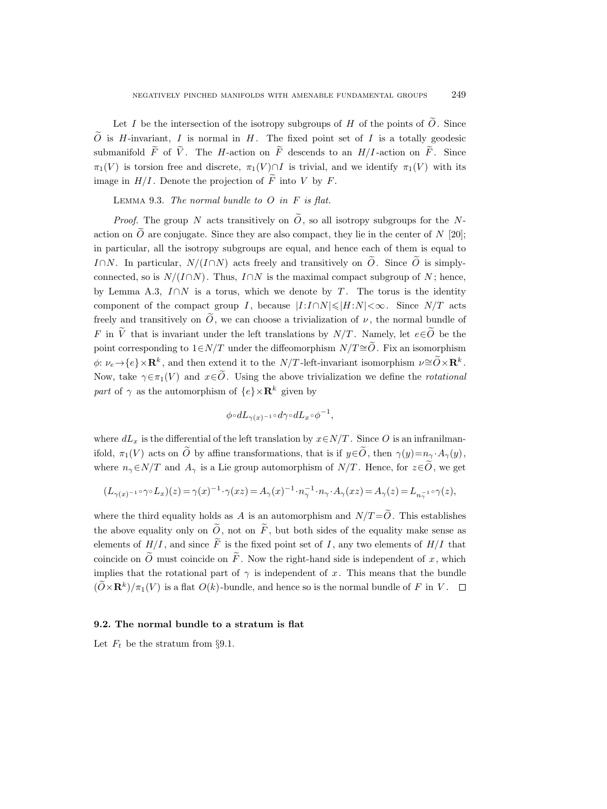Let I be the intersection of the isotropy subgroups of H of the points of  $\widetilde{O}$ . Since  $\tilde{O}$  is H-invariant, I is normal in H. The fixed point set of I is a totally geodesic submanifold  $\tilde{F}$  of  $\tilde{V}$ . The H-action on  $\tilde{F}$  descends to an  $H/I$ -action on  $\tilde{F}$ . Since  $\pi_1(V)$  is torsion free and discrete,  $\pi_1(V) \cap I$  is trivial, and we identify  $\pi_1(V)$  with its image in  $H/I$ . Denote the projection of  $\widetilde{F}$  into V by F.

LEMMA 9.3. The normal bundle to  $O$  in  $F$  is flat.

*Proof.* The group N acts transitively on  $\widetilde{O}$ , so all isotropy subgroups for the Naction on  $\widetilde{O}$  are conjugate. Since they are also compact, they lie in the center of N [20]; in particular, all the isotropy subgroups are equal, and hence each of them is equal to I∩N. In particular,  $N/(I\cap N)$  acts freely and transitively on  $\tilde{O}$ . Since  $\tilde{O}$  is simplyconnected, so is  $N/(I\cap N)$ . Thus,  $I\cap N$  is the maximal compact subgroup of N; hence, by Lemma A.3,  $I \cap N$  is a torus, which we denote by T. The torus is the identity component of the compact group I, because  $|I:I\cap N|\leq H:N|<\infty$ . Since  $N/T$  acts freely and transitively on  $\tilde{O}$ , we can choose a trivialization of  $\nu$ , the normal bundle of F in  $\tilde{V}$  that is invariant under the left translations by N/T. Namely, let  $e\in\tilde{O}$  be the point corresponding to  $1 \in N/T$  under the diffeomorphism  $N/T \cong \widetilde{O}$ . Fix an isomorphism  $\phi: \nu_e \to \{e\} \times \mathbf{R}^k$ , and then extend it to the N/T-left-invariant isomorphism  $\nu \cong \widetilde{O} \times \mathbf{R}^k$ . Now, take  $\gamma \in \pi_1(V)$  and  $x \in \widetilde{O}$ . Using the above trivialization we define the *rotational* part of  $\gamma$  as the automorphism of  $\{e\}\times\mathbf{R}^k$  given by

$$
\phi\!\circ\! dL_{\gamma(x)^{-1}}\!\circ\! d\gamma\!\circ\! dL_x\!\circ\! \phi^{-1},
$$

where  $dL_x$  is the differential of the left translation by  $x \in N/T$ . Since O is an infranilmanifold,  $\pi_1(V)$  acts on  $\widetilde{O}$  by affine transformations, that is if  $y \in \widetilde{O}$ , then  $\gamma(y)=n_\gamma \cdot A_\gamma(y)$ , where  $n_{\gamma} \in N/T$  and  $A_{\gamma}$  is a Lie group automorphism of  $N/T$ . Hence, for  $z \in \widetilde{O}$ , we get

$$
(L_{\gamma(x)^{-1}}\circ\gamma\circ L_x)(z)=\gamma(x)^{-1}\cdot\gamma(xz)=A_{\gamma}(x)^{-1}\cdot n_{\gamma}^{-1}\cdot n_{\gamma}\cdot A_{\gamma}(xz)=A_{\gamma}(z)=L_{n_{\gamma}^{-1}}\circ\gamma(z),
$$

where the third equality holds as A is an automorphism and  $N/T = \widetilde{O}$ . This establishes the above equality only on  $\widetilde{O}$ , not on  $\widetilde{F}$ , but both sides of the equality make sense as elements of  $H/I$ , and since  $\widetilde{F}$  is the fixed point set of I, any two elements of  $H/I$  that coincide on  $\tilde{O}$  must coincide on  $\tilde{F}$ . Now the right-hand side is independent of x, which implies that the rotational part of  $\gamma$  is independent of x. This means that the bundle  $(\widetilde{O} \times \mathbf{R}^k)/\pi_1(V)$  is a flat  $O(k)$ -bundle, and hence so is the normal bundle of F in V.

## 9.2. The normal bundle to a stratum is flat

Let  $F_t$  be the stratum from §9.1.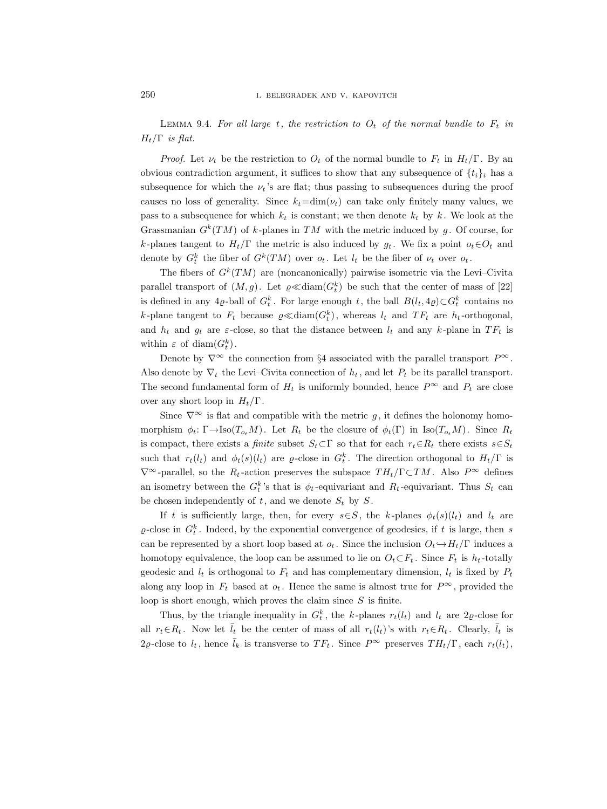LEMMA 9.4. For all large t, the restriction to  $O_t$  of the normal bundle to  $F_t$  in  $H_t/\Gamma$  is flat.

*Proof.* Let  $\nu_t$  be the restriction to  $O_t$  of the normal bundle to  $F_t$  in  $H_t/\Gamma$ . By an obvious contradiction argument, it suffices to show that any subsequence of  $\{t_i\}_i$  has a subsequence for which the  $\nu_t$ 's are flat; thus passing to subsequences during the proof causes no loss of generality. Since  $k_t = \dim(\nu_t)$  can take only finitely many values, we pass to a subsequence for which  $k_t$  is constant; we then denote  $k_t$  by k. We look at the Grassmanian  $G^k(TM)$  of k-planes in TM with the metric induced by g. Of course, for k-planes tangent to  $H_t/\Gamma$  the metric is also induced by  $g_t$ . We fix a point  $o_t \in O_t$  and denote by  $G_t^k$  the fiber of  $G^k(TM)$  over  $o_t$ . Let  $l_t$  be the fiber of  $\nu_t$  over  $o_t$ .

The fibers of  $G^k(TM)$  are (noncanonically) pairwise isometric via the Levi–Civita parallel transport of  $(M, g)$ . Let  $\varrho \ll \text{diam}(G_t^k)$  be such that the center of mass of [22] is defined in any 4<sub> $\varrho$ </sub>-ball of  $G_t^k$ . For large enough t, the ball  $B(l_t, 4\varrho) \subset G_t^k$  contains no k-plane tangent to  $F_t$  because  $\varrho \ll \text{diam}(G_t^k)$ , whereas  $l_t$  and  $TF_t$  are  $h_t$ -orthogonal, and  $h_t$  and  $g_t$  are  $\varepsilon$ -close, so that the distance between  $l_t$  and any k-plane in  $TF_t$  is within  $\varepsilon$  of diam $(G_t^k)$ .

Denote by  $\nabla^{\infty}$  the connection from §4 associated with the parallel transport  $P^{\infty}$ . Also denote by  $\nabla_t$  the Levi–Civita connection of  $h_t$ , and let  $P_t$  be its parallel transport. The second fundamental form of  $H_t$  is uniformly bounded, hence  $P^{\infty}$  and  $P_t$  are close over any short loop in  $H_t/\Gamma$ .

Since  $\nabla^{\infty}$  is flat and compatible with the metric g, it defines the holonomy homomorphism  $\phi_t: \Gamma \to \text{Iso}(T_{o_t}M)$ . Let  $R_t$  be the closure of  $\phi_t(\Gamma)$  in Iso $(T_{o_t}M)$ . Since  $R_t$ is compact, there exists a *finite* subset  $S_t \subset \Gamma$  so that for each  $r_t \in R_t$  there exists  $s \in S_t$ such that  $r_t(l_t)$  and  $\phi_t(s)(l_t)$  are  $\varrho$ -close in  $G_t^k$ . The direction orthogonal to  $H_t/\Gamma$  is  $\nabla^{\infty}$ -parallel, so the  $R_t$ -action preserves the subspace  $TH_t/\Gamma \subset TM$ . Also  $P^{\infty}$  defines an isometry between the  $G_t^k$ 's that is  $\phi_t$ -equivariant and  $R_t$ -equivariant. Thus  $S_t$  can be chosen independently of  $t$ , and we denote  $S_t$  by  $S$ .

If t is sufficiently large, then, for every  $s \in S$ , the k-planes  $\phi_t(s)(l_t)$  and  $l_t$  are  $\varrho$ -close in  $G_t^k$ . Indeed, by the exponential convergence of geodesics, if t is large, then s can be represented by a short loop based at  $o_t$ . Since the inclusion  $O_t \rightarrow H_t/\Gamma$  induces a homotopy equivalence, the loop can be assumed to lie on  $O_t\subset F_t$ . Since  $F_t$  is  $h_t$ -totally geodesic and  $l_t$  is orthogonal to  $F_t$  and has complementary dimension,  $l_t$  is fixed by  $P_t$ along any loop in  $F_t$  based at  $o_t$ . Hence the same is almost true for  $P^{\infty}$ , provided the loop is short enough, which proves the claim since  $S$  is finite.

Thus, by the triangle inequality in  $G_t^k$ , the k-planes  $r_t(l_t)$  and  $l_t$  are 2 $\varrho$ -close for all  $r_t \in R_t$ . Now let  $\overline{l}_t$  be the center of mass of all  $r_t(l_t)$ 's with  $r_t \in R_t$ . Clearly,  $\overline{l}_t$  is 2 $\varrho$ -close to  $l_t$ , hence  $\bar{l}_k$  is transverse to  $TF_t$ . Since  $P^{\infty}$  preserves  $TH_t/\Gamma$ , each  $r_t(l_t)$ ,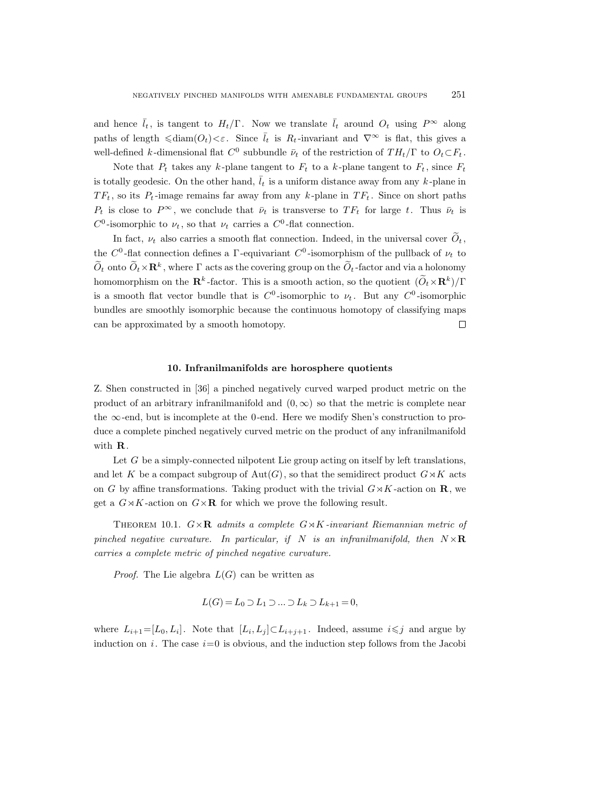and hence  $\bar{l}_t$ , is tangent to  $H_t/\Gamma$ . Now we translate  $\bar{l}_t$  around  $O_t$  using  $P^{\infty}$  along paths of length  $\leq \text{diam}(O_t) < \varepsilon$ . Since  $\overline{l}_t$  is  $R_t$ -invariant and  $\nabla^\infty$  is flat, this gives a well-defined k-dimensional flat  $C^0$  subbundle  $\bar{\nu}_t$  of the restriction of  $TH_t/\Gamma$  to  $O_t \subset F_t$ .

Note that  $P_t$  takes any k-plane tangent to  $F_t$  to a k-plane tangent to  $F_t$ , since  $F_t$ is totally geodesic. On the other hand,  $\overline{l}_t$  is a uniform distance away from any k-plane in  $TF_t$ , so its  $P_t$ -image remains far away from any k-plane in  $TF_t$ . Since on short paths  $P_t$  is close to  $P^{\infty}$ , we conclude that  $\bar{\nu}_t$  is transverse to  $TF_t$  for large t. Thus  $\bar{\nu}_t$  is  $C^0$ -isomorphic to  $\nu_t$ , so that  $\nu_t$  carries a  $C^0$ -flat connection.

In fact,  $\nu_t$  also carries a smooth flat connection. Indeed, in the universal cover  $\widetilde{O}_t$ , the  $C^0$ -flat connection defines a  $\Gamma$ -equivariant  $C^0$ -isomorphism of the pullback of  $\nu_t$  to  $\widetilde{O}_t$  onto  $\widetilde{O}_t \times \mathbf{R}^k$ , where  $\Gamma$  acts as the covering group on the  $\widetilde{O}_t$ -factor and via a holonomy homomorphism on the  $\mathbf{R}^k$ -factor. This is a smooth action, so the quotient  $(\hat{O}_t \times \mathbf{R}^k)/\Gamma$ is a smooth flat vector bundle that is  $C^0$ -isomorphic to  $\nu_t$ . But any  $C^0$ -isomorphic bundles are smoothly isomorphic because the continuous homotopy of classifying maps can be approximated by a smooth homotopy.  $\Box$ 

#### 10. Infranilmanifolds are horosphere quotients

Z. Shen constructed in [36] a pinched negatively curved warped product metric on the product of an arbitrary infranilmanifold and  $(0, \infty)$  so that the metric is complete near the  $\infty$ -end, but is incomplete at the 0-end. Here we modify Shen's construction to produce a complete pinched negatively curved metric on the product of any infranilmanifold with R.

Let G be a simply-connected nilpotent Lie group acting on itself by left translations, and let K be a compact subgroup of  $Aut(G)$ , so that the semidirect product  $G \rtimes K$  acts on G by affine transformations. Taking product with the trivial  $G \rtimes K$ -action on **R**, we get a  $G \rtimes K$ -action on  $G \times \mathbf{R}$  for which we prove the following result.

THEOREM 10.1.  $G \times \mathbf{R}$  admits a complete  $G \rtimes K$ -invariant Riemannian metric of pinched negative curvature. In particular, if N is an infranilmanifold, then  $N \times \mathbf{R}$ carries a complete metric of pinched negative curvature.

*Proof.* The Lie algebra  $L(G)$  can be written as

$$
L(G) = L_0 \supset L_1 \supset \dots \supset L_k \supset L_{k+1} = 0,
$$

where  $L_{i+1}=[L_0, L_i]$ . Note that  $[L_i, L_j] \subset L_{i+j+1}$ . Indeed, assume  $i \leq j$  and argue by induction on i. The case  $i=0$  is obvious, and the induction step follows from the Jacobi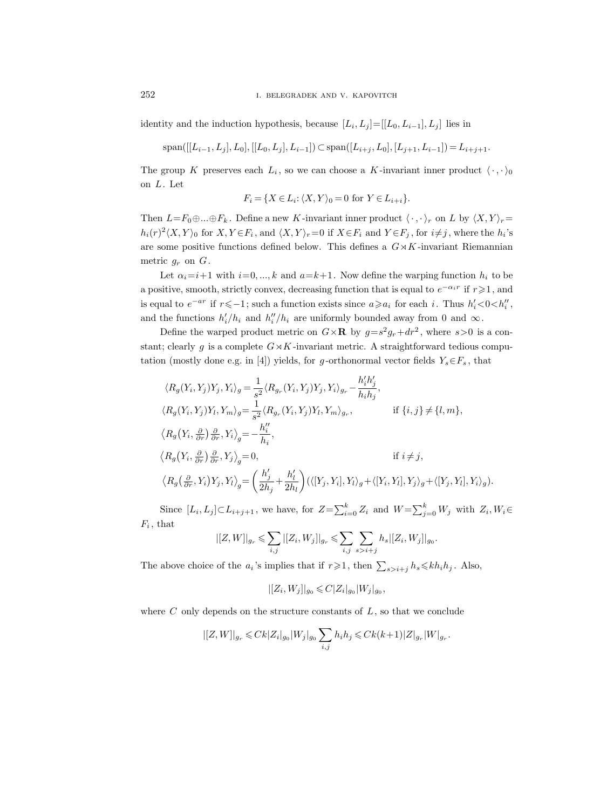identity and the induction hypothesis, because  $[L_i, L_j] = [[L_0, L_{i-1}], L_j]$  lies in

$$
span([[L_{i-1}, L_j], L_0], [[L_0, L_j], L_{i-1}]) \subset span([L_{i+j}, L_0], [L_{j+1}, L_{i-1}]) = L_{i+j+1}.
$$

The group K preserves each  $L_i$ , so we can choose a K-invariant inner product  $\langle \cdot, \cdot \rangle_0$ on L. Let

$$
F_i = \{ X \in L_i : \langle X, Y \rangle_0 = 0 \text{ for } Y \in L_{i+i} \}.
$$

Then  $L=F_0\oplus...\oplus F_k$ . Define a new K-invariant inner product  $\langle \cdot, \cdot \rangle_r$  on L by  $\langle X, Y \rangle_r=$  $h_i(r)^2 \langle X, Y \rangle_0$  for  $X, Y \in F_i$ , and  $\langle X, Y \rangle_r = 0$  if  $X \in F_i$  and  $Y \in F_j$ , for  $i \neq j$ , where the  $h_i$ 's are some positive functions defined below. This defines a  $G \rtimes K$ -invariant Riemannian metric  $g_r$  on  $G$ .

Let  $\alpha_i=i+1$  with  $i=0, ..., k$  and  $a=k+1$ . Now define the warping function  $h_i$  to be a positive, smooth, strictly convex, decreasing function that is equal to  $e^{-\alpha_i r}$  if  $r \geq 1$ , and is equal to  $e^{-ar}$  if  $r \leq -1$ ; such a function exists since  $a \geq a_i$  for each i. Thus  $h'_i < 0 < h''_i$ , and the functions  $h'_i/h_i$  and  $h''_i/h_i$  are uniformly bounded away from 0 and  $\infty$ .

Define the warped product metric on  $G \times \mathbf{R}$  by  $g=s^2g_r+dr^2$ , where  $s>0$  is a constant; clearly g is a complete  $G \rtimes K$ -invariant metric. A straightforward tedious computation (mostly done e.g. in [4]) yields, for g-orthonormal vector fields  $Y_s \in F_s$ , that

$$
\langle R_g(Y_i, Y_j)Y_j, Y_i \rangle_g = \frac{1}{s^2} \langle R_{g_r}(Y_i, Y_j)Y_j, Y_i \rangle_{g_r} - \frac{h'_i h'_j}{h_i h_j},
$$
  
\n
$$
\langle R_g(Y_i, Y_j)Y_l, Y_m \rangle_g = \frac{1}{s^2} \langle R_{g_r}(Y_i, Y_j)Y_l, Y_m \rangle_{g_r},
$$
 if  $\{i, j\} \neq \{l, m\},$   
\n
$$
\langle R_g(Y_i, \frac{\partial}{\partial r}) \frac{\partial}{\partial r}, Y_i \rangle_g = -\frac{h''_i}{h_i},
$$
  
\n
$$
\langle R_g(Y_i, \frac{\partial}{\partial r}) \frac{\partial}{\partial r}, Y_j \rangle_g = 0,
$$
 if  $i \neq j$ ,  
\n
$$
\langle R_g(\frac{\partial}{\partial r}, Y_i)Y_j, Y_l \rangle_g = \left(\frac{h'_j}{2h_j} + \frac{h'_l}{2h_l}\right) (\langle [Y_j, Y_i], Y_l \rangle_g + \langle [Y_i, Y_l], Y_j \rangle_g + \langle [Y_j, Y_l], Y_i \rangle_g).
$$

Since  $[L_i, L_j] \subset L_{i+j+1}$ , we have, for  $Z = \sum_{i=0}^k Z_i$  and  $W = \sum_{j=0}^k W_j$  with  $Z_i, W_i \in$  $F_i$ , that

.

$$
|[Z,W]|_{g_r} \leq \sum_{i,j} |[Z_i, W_j]|_{g_r} \leq \sum_{i,j} \sum_{s>i+j} h_s |[Z_i, W_j]|_{g_0}
$$

The above choice of the  $a_i$ 's implies that if  $r \geq 1$ , then  $\sum_{s>i+j} h_s \leq k h_i h_j$ . Also,

$$
|[Z_i, W_j]|_{g_0} \leqslant C |Z_i|_{g_0} |W_j|_{g_0},
$$

where  $C$  only depends on the structure constants of  $L$ , so that we conclude

$$
|[Z,W]|_{g_r} \leq Ck|Z_i|_{g_0}|W_j|_{g_0} \sum_{i,j} h_i h_j \leq Ck(k+1)|Z|_{g_r}|W|_{g_r}.
$$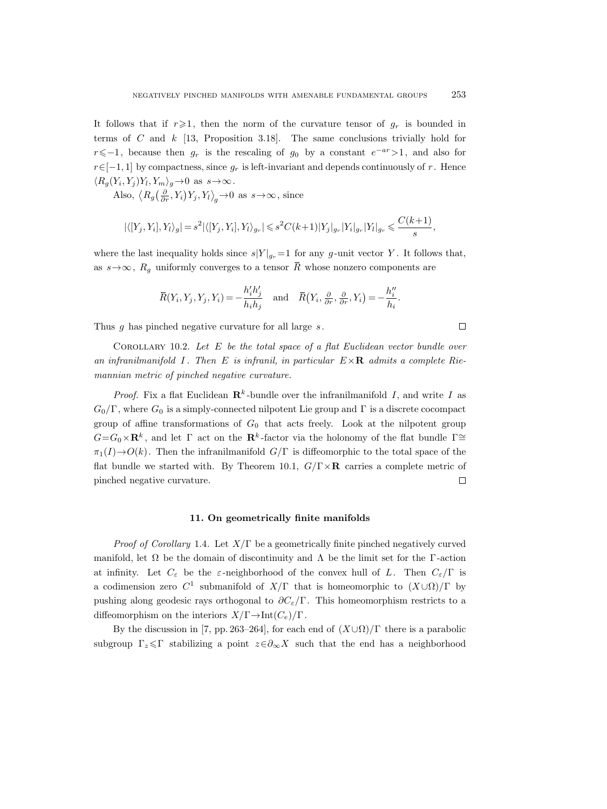It follows that if  $r\geqslant1$ , then the norm of the curvature tensor of  $q_r$  is bounded in terms of  $C$  and  $k$  [13, Proposition 3.18]. The same conclusions trivially hold for r $\leq -1$ , because then  $g_r$  is the rescaling of  $g_0$  by a constant  $e^{-ar} > 1$ , and also for  $r\in[-1,1]$  by compactness, since  $g_r$  is left-invariant and depends continuously of r. Hence  $\langle R_g(Y_i, Y_j)Y_l, Y_m \rangle_g \rightarrow 0 \text{ as } s \rightarrow \infty.$ 

Also,  $\langle R_g(\frac{\partial}{\partial r}, Y_i)Y_j, Y_l \rangle_g \rightarrow 0$  as  $s \rightarrow \infty$ , since

$$
|\langle[Y_j,Y_i],Y_l\rangle_g|=s^2|\langle[Y_j,Y_i],Y_l\rangle_{g_r}|\leqslant s^2C(k+1)|Y_j|_{g_r}|Y_i|_{g_r}|Y_l|_{g_r}\leqslant \frac{C(k+1)}{s},
$$

where the last inequality holds since  $s|Y|_{g_r} = 1$  for any g-unit vector Y. It follows that, as  $s \rightarrow \infty$ ,  $R_q$  uniformly converges to a tensor  $\overline{R}$  whose nonzero components are

$$
\overline{R}(Y_i, Y_j, Y_j, Y_i) = -\frac{h'_i h'_j}{h_i h_j} \quad \text{and} \quad \overline{R}(Y_i, \frac{\partial}{\partial r}, \frac{\partial}{\partial r}, Y_i) = -\frac{h''_i}{h_i}.
$$

 $\Box$ 

Thus  $q$  has pinched negative curvature for all large  $s$ .

COROLLARY 10.2. Let  $E$  be the total space of a flat Euclidean vector bundle over an infranilmanifold I. Then E is infranil, in particular  $E \times \mathbf{R}$  admits a complete Riemannian metric of pinched negative curvature.

*Proof.* Fix a flat Euclidean  $\mathbb{R}^k$ -bundle over the infranilmanifold I, and write I as  $G_0/\Gamma$ , where  $G_0$  is a simply-connected nilpotent Lie group and  $\Gamma$  is a discrete cocompact group of affine transformations of  $G_0$  that acts freely. Look at the nilpotent group  $G = G_0 \times \mathbf{R}^k$ , and let Γ act on the  $\mathbf{R}^k$ -factor via the holonomy of the flat bundle  $\Gamma \cong$  $\pi_1(I) \to O(k)$ . Then the infranilmanifold  $G/\Gamma$  is diffeomorphic to the total space of the flat bundle we started with. By Theorem 10.1,  $G/\Gamma \times \mathbf{R}$  carries a complete metric of pinched negative curvature.  $\Box$ 

# 11. On geometrically finite manifolds

*Proof of Corollary* 1.4. Let  $X/\Gamma$  be a geometrically finite pinched negatively curved manifold, let  $\Omega$  be the domain of discontinuity and  $\Lambda$  be the limit set for the Γ-action at infinity. Let  $C_{\varepsilon}$  be the  $\varepsilon$ -neighborhood of the convex hull of L. Then  $C_{\varepsilon}/\Gamma$  is a codimension zero  $C^1$  submanifold of  $X/\Gamma$  that is homeomorphic to  $(X \cup \Omega)/\Gamma$  by pushing along geodesic rays orthogonal to  $\partial C_{\varepsilon}/\Gamma$ . This homeomorphism restricts to a diffeomorphism on the interiors  $X/\Gamma \rightarrow \text{Int}(C_e)/\Gamma$ .

By the discussion in [7, pp. 263–264], for each end of  $(X\cup\Omega)/\Gamma$  there is a parabolic subgroup  $\Gamma_z \leq \Gamma$  stabilizing a point  $z \in \partial_{\infty} X$  such that the end has a neighborhood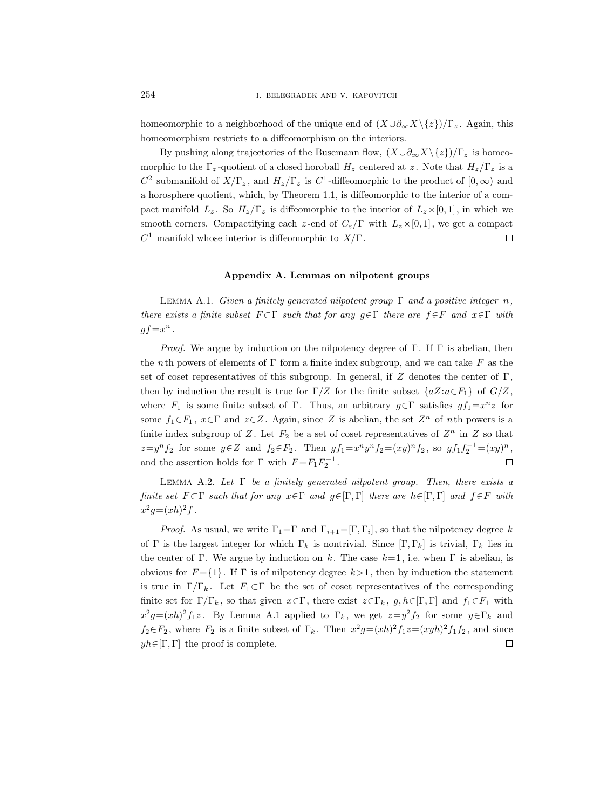homeomorphic to a neighborhood of the unique end of  $(X \cup \partial_{\infty} X \setminus \{z\})/\Gamma_z$ . Again, this homeomorphism restricts to a diffeomorphism on the interiors.

By pushing along trajectories of the Busemann flow,  $(X \cup \partial_{\infty} X \setminus \{z\})/\Gamma_z$  is homeomorphic to the  $\Gamma_z$ -quotient of a closed horoball  $H_z$  centered at z. Note that  $H_z/\Gamma_z$  is a  $C^2$  submanifold of  $X/\Gamma_z$ , and  $H_z/\Gamma_z$  is  $C^1$ -diffeomorphic to the product of  $[0,\infty)$  and a horosphere quotient, which, by Theorem 1.1, is diffeomorphic to the interior of a compact manifold  $L_z$ . So  $H_z/\Gamma_z$  is diffeomorphic to the interior of  $L_z\times[0,1]$ , in which we smooth corners. Compactifying each z-end of  $C_{\varepsilon}/\Gamma$  with  $L_z \times [0, 1]$ , we get a compact  $C<sup>1</sup>$  manifold whose interior is diffeomorphic to  $X/\Gamma$ .  $\Box$ 

## Appendix A. Lemmas on nilpotent groups

LEMMA A.1. Given a finitely generated nilpotent group  $\Gamma$  and a positive integer n, there exists a finite subset  $F \subset \Gamma$  such that for any  $g \in \Gamma$  there are  $f \in F$  and  $x \in \Gamma$  with  $gf = x^n$ .

*Proof.* We argue by induction on the nilpotency degree of  $\Gamma$ . If  $\Gamma$  is abelian, then the nth powers of elements of  $\Gamma$  form a finite index subgroup, and we can take F as the set of coset representatives of this subgroup. In general, if Z denotes the center of  $\Gamma$ , then by induction the result is true for  $\Gamma/Z$  for the finite subset  $\{aZ: a \in F_1\}$  of  $G/Z$ , where  $F_1$  is some finite subset of  $\Gamma$ . Thus, an arbitrary  $g \in \Gamma$  satisfies  $gf_1 = x^n z$  for some  $f_1 \in F_1$ ,  $x \in \Gamma$  and  $z \in Z$ . Again, since Z is abelian, the set  $Z^n$  of nth powers is a finite index subgroup of Z. Let  $F_2$  be a set of coset representatives of  $Z^n$  in Z so that  $z = y^n f_2$  for some  $y \in Z$  and  $f_2 \in F_2$ . Then  $gf_1 = x^n y^n f_2 = (xy)^n f_2$ , so  $gf_1 f_2^{-1} = (xy)^n$ , and the assertion holds for  $\Gamma$  with  $F = F_1 F_2^{-1}$ .  $\Box$ 

LEMMA A.2. Let  $\Gamma$  be a finitely generated nilpotent group. Then, there exists a finite set  $F \subset \Gamma$  such that for any  $x \in \Gamma$  and  $g \in [\Gamma, \Gamma]$  there are  $h \in [\Gamma, \Gamma]$  and  $f \in F$  with  $x^2g = (xh)^2f$ .

*Proof.* As usual, we write  $\Gamma_1 = \Gamma$  and  $\Gamma_{i+1} = [\Gamma, \Gamma_i]$ , so that the nilpotency degree k of Γ is the largest integer for which  $\Gamma_k$  is nontrivial. Since  $[\Gamma, \Gamma_k]$  is trivial,  $\Gamma_k$  lies in the center of Γ. We argue by induction on k. The case  $k=1$ , i.e. when Γ is abelian, is obvious for  $F = \{1\}$ . If  $\Gamma$  is of nilpotency degree  $k > 1$ , then by induction the statement is true in  $\Gamma/\Gamma_k$ . Let  $F_1 \subset \Gamma$  be the set of coset representatives of the corresponding finite set for  $\Gamma/\Gamma_k$ , so that given  $x \in \Gamma$ , there exist  $z \in \Gamma_k$ ,  $g, h \in [\Gamma, \Gamma]$  and  $f_1 \in F_1$  with  $x^2g=(xh)^2f_1z$ . By Lemma A.1 applied to  $\Gamma_k$ , we get  $z=y^2f_2$  for some  $y\in\Gamma_k$  and  $f_2 \in F_2$ , where  $F_2$  is a finite subset of  $\Gamma_k$ . Then  $x^2g = (xh)^2 f_1 z = (xyh)^2 f_1 f_2$ , and since  $yh \in [\Gamma, \Gamma]$  the proof is complete.  $\Box$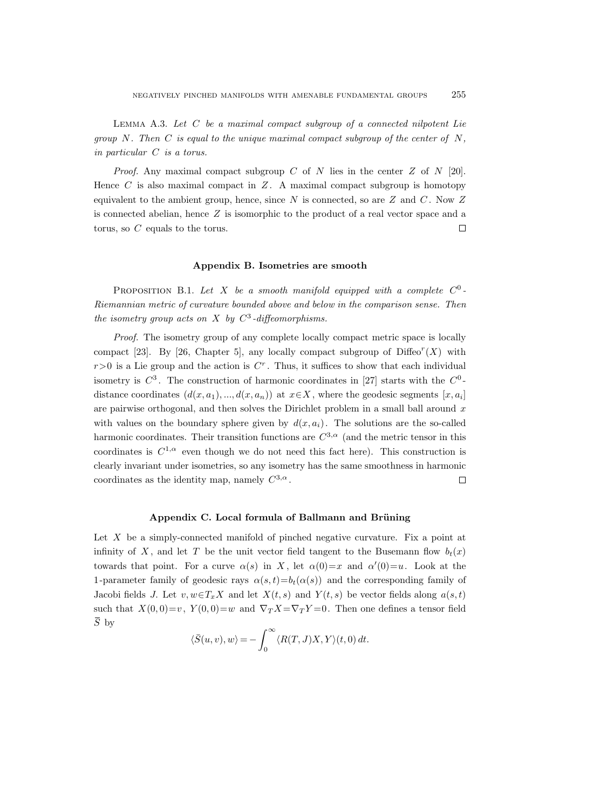LEMMA A.3. Let  $C$  be a maximal compact subgroup of a connected nilpotent Lie group  $N$ . Then C is equal to the unique maximal compact subgroup of the center of  $N$ , in particular C is a torus.

*Proof.* Any maximal compact subgroup C of N lies in the center Z of N [20]. Hence  $C$  is also maximal compact in  $Z$ . A maximal compact subgroup is homotopy equivalent to the ambient group, hence, since  $N$  is connected, so are  $Z$  and  $C$ . Now  $Z$ is connected abelian, hence Z is isomorphic to the product of a real vector space and a torus, so C equals to the torus.  $\Box$ 

## Appendix B. Isometries are smooth

PROPOSITION B.1. Let X be a smooth manifold equipped with a complete  $C^0$ -Riemannian metric of curvature bounded above and below in the comparison sense. Then the isometry group acts on  $X$  by  $C^3$ -diffeomorphisms.

Proof. The isometry group of any complete locally compact metric space is locally compact [23]. By [26, Chapter 5], any locally compact subgroup of  $\text{Diffeo}^r(X)$  with  $r>0$  is a Lie group and the action is  $C<sup>r</sup>$ . Thus, it suffices to show that each individual isometry is  $C^3$ . The construction of harmonic coordinates in [27] starts with the  $C^0$ distance coordinates  $(d(x, a_1), ..., d(x, a_n))$  at  $x \in X$ , where the geodesic segments  $[x, a_i]$ are pairwise orthogonal, and then solves the Dirichlet problem in a small ball around  $x$ with values on the boundary sphere given by  $d(x, a_i)$ . The solutions are the so-called harmonic coordinates. Their transition functions are  $C^{3,\alpha}$  (and the metric tensor in this coordinates is  $C^{1,\alpha}$  even though we do not need this fact here). This construction is clearly invariant under isometries, so any isometry has the same smoothness in harmonic coordinates as the identity map, namely  $C^{3,\alpha}$ .  $\Box$ 

## Appendix C. Local formula of Ballmann and Brüning

Let  $X$  be a simply-connected manifold of pinched negative curvature. Fix a point at infinity of X, and let T be the unit vector field tangent to the Busemann flow  $b_t(x)$ towards that point. For a curve  $\alpha(s)$  in X, let  $\alpha(0)=x$  and  $\alpha'(0)=u$ . Look at the 1-parameter family of geodesic rays  $\alpha(s,t)=b_t(\alpha(s))$  and the corresponding family of Jacobi fields J. Let  $v, w \in T_x X$  and let  $X(t, s)$  and  $Y(t, s)$  be vector fields along  $a(s, t)$ such that  $X(0, 0)=v$ ,  $Y(0, 0)=w$  and  $\nabla_T X=\nabla_T Y=0$ . Then one defines a tensor field  $\overline{S}$  by

$$
\langle \bar S(u,v),w\rangle = -\int_0^\infty \langle R(T,J)X,Y\rangle (t,0)\,dt.
$$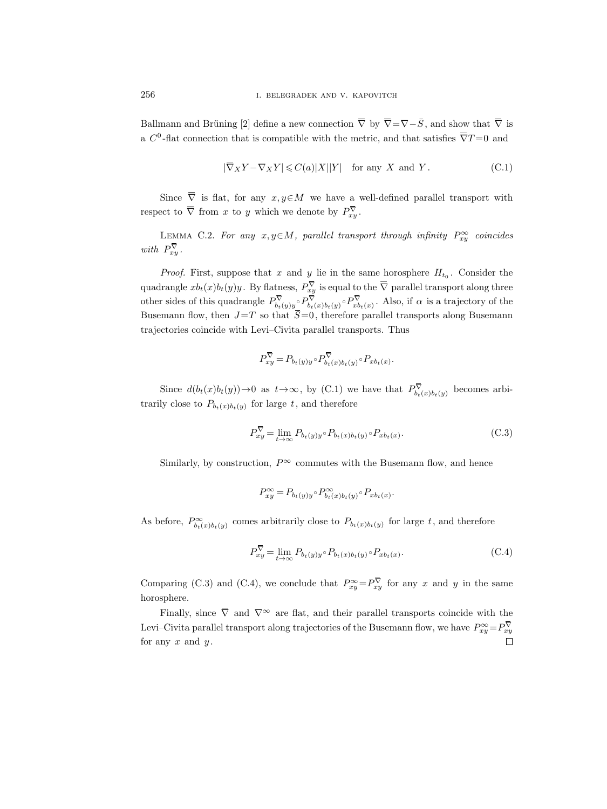Ballmann and Brüning [2] define a new connection  $\overline{\nabla}$  by  $\overline{\nabla} = \nabla - \overline{S}$ , and show that  $\overline{\nabla}$  is a  $C^0$ -flat connection that is compatible with the metric, and that satisfies  $\overline{\nabla}T=0$  and  $C^0$ -flat connection that is compatible with the metric, and that satisfies  $\overline{\nabla}T=0$  and

$$
|\overline{\nabla}_X Y - \nabla_X Y| \leqslant C(a)|X||Y| \quad \text{for any } X \text{ and } Y. \tag{C.1}
$$

Since  $\overline{\nabla}$  is flat, for any  $x, y \in M$  we have a well-defined parallel transport with respect to  $\overline{\nabla}$  from x to y which we denote by  $P_{xy}^{\overline{\nabla}}$ . m<br/> fo $a$  <br/>  $\overline{\nabla}$ nc<br>t<br>▽

LEMMA C.2. For any  $x, y \in M$ , parallel transport through infinity  $P_{xy}^{\infty}$  coincides with  $P_{xy}^{\vee}$ . nc<br>an<br>▽

*Proof.* First, suppose that x and y lie in the same horosphere  $H_{t_0}$ . Consider the quadrangle  $xb_t(x)b_t(y)y$ . By flatness,  $P_{xy}^{\vee}$  $\sqrt{\nabla}$  is equal to the  $\overline{\nabla}$  parallel transport along three other sides of this quadrangle  $P_{b_t(y)y}^{\overline{\nabla}}$ ,  $P_{b_t(x)b_t(y)}^{\overline{\nabla}}$ ,  $P_{xb_t(x)}^{\overline{\nabla}}$ . Also, if  $\alpha$  is a trajectory of the Busemann flow, then  $J=T$  so that  $\overline{S}=0$ , therefore parallel transports along Busemann  $\in$   $x$  in  $\overline{\nabla}$ an<br>y<br>v<br>▽<br>▽ ບຣ;<br>ບ<br>ປີ<br>⊽ີ trajectories coincide with Levi–Civita parallel transports. Thus  $\frac{1}{2}$ <br>i-<br> $\overline{\nabla}$ ι e<br>bt<br>he<br>↓<br>▽ ∇

$$
P_{xy}^{\overline{\nabla}} = P_{b_t(y)y} \circ P_{b_t(x)b_t(y)}^{\overline{\nabla}} \circ P_{xb_t(x)}.
$$

Since  $d(b_t(x)b_t(y))\to 0$  as  $t\to\infty$ , by (C.1) we have that  $P^{\nabla}_{b_t(x)b_t(y)}$  becomes arbitrarily close to  $P_{b_t(x)b_t(y)}$  for large t, and therefore  $\frac{1}{2}$ <br>or<br> $\overline{\nabla}$ 

$$
P_{xy}^{\overline{\nabla}} = \lim_{t \to \infty} P_{b_t(y)y} \circ P_{b_t(x)b_t(y)} \circ P_{xb_t(x)}.
$$
\n(C.3)

Similarly, by construction,  $P^{\infty}$  commutes with the Busemann flow, and hence

$$
P_{xy}^{\infty} = P_{b_t(y)y} \circ P_{b_t(x)b_t(y)}^{\infty} \circ P_{xb_t(x)}.
$$
  
 (arbitrarily close to  $P_{b_t(x)b_t(y)}$  for  $\nabla$ 

As before,  $P^{\infty}_{b_t(x)b_t(y)}$  comes arbitrarily close to  $P_{b_t(x)b_t(y)}$  for large t, and therefore

less arbitrarily close to 
$$
P_{b_t(x)b_t(y)}
$$
 for large  $t$ , and therefore

\n
$$
P_{xy}^{\overline{\nabla}} = \lim_{t \to \infty} P_{b_t(y)y} \circ P_{b_t(x)b_t(y)} \circ P_{xb_t(x)}.
$$
\n(C.4)

\n1) we conclude that  $P^{\infty} - P^{\overline{\nabla}}$  for any  $x$  and  $y$  in the same

Comparing (C.3) and (C.4), we conclude that  $P_{xy}^{\infty} = P_{xy}^{\nabla}$  for any x and y in the same horosphere. 4)<br>n€<br>⊽

Finally, since  $\overline{\nabla}$  and  $\nabla^{\infty}$  are flat, and their parallel transports coincide with the Levi–Civita parallel transport along trajectories of the Busemann flow, we have  $P_{xy}^{\infty} = P_{xy}^{\nabla}$ for any  $x$  and  $y$ .  $\Box$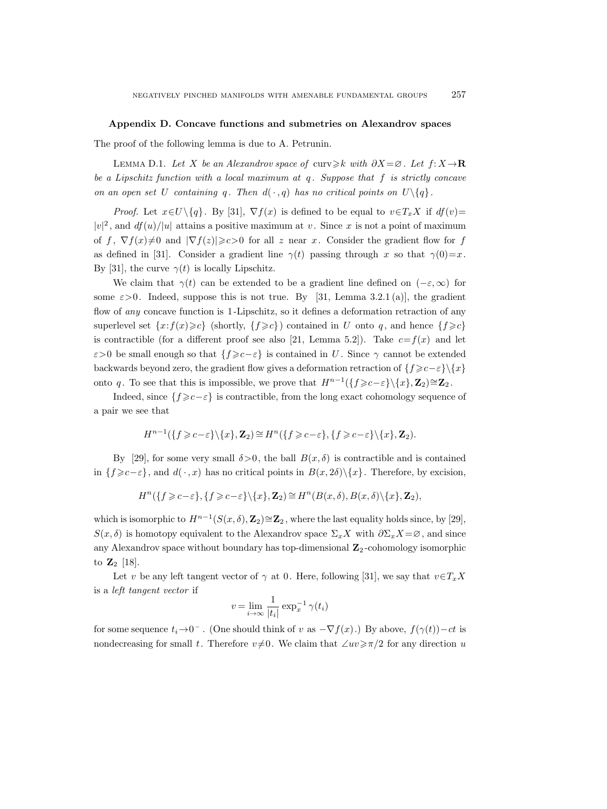#### Appendix D. Concave functions and submetries on Alexandrov spaces

The proof of the following lemma is due to A. Petrunin.

LEMMA D.1. Let X be an Alexandrov space of curv≥k with  $\partial X = \emptyset$ . Let  $f: X \rightarrow \mathbf{R}$ be a Lipschitz function with a local maximum at  $q$ . Suppose that  $f$  is strictly concave on an open set U containing q. Then  $d(\cdot, q)$  has no critical points on  $U\backslash\{q\}$ .

*Proof.* Let  $x \in U \setminus \{q\}$ . By [31],  $\nabla f(x)$  is defined to be equal to  $v \in T_x X$  if  $df(v) =$  $|v|^2$ , and  $df(u)/|u|$  attains a positive maximum at v. Since x is not a point of maximum of f,  $\nabla f(x) \neq 0$  and  $|\nabla f(z)| \geq c>0$  for all z near x. Consider the gradient flow for f as defined in [31]. Consider a gradient line  $\gamma(t)$  passing through x so that  $\gamma(0)=x$ . By [31], the curve  $\gamma(t)$  is locally Lipschitz.

We claim that  $\gamma(t)$  can be extended to be a gradient line defined on  $(-\varepsilon,\infty)$  for some  $\varepsilon > 0$ . Indeed, suppose this is not true. By [31, Lemma 3.2.1(a)], the gradient flow of *any* concave function is 1-Lipschitz, so it defines a deformation retraction of any superlevel set  $\{x:f(x)\geq c\}$  (shortly,  $\{f\geq c\}$ ) contained in U onto q, and hence  $\{f\geq c\}$ is contractible (for a different proof see also [21, Lemma 5.2]). Take  $c=f(x)$  and let  $\varepsilon > 0$  be small enough so that  $\{f \geqslant c - \varepsilon\}$  is contained in U. Since  $\gamma$  cannot be extended backwards beyond zero, the gradient flow gives a deformation retraction of  $\{f \geq c-\varepsilon\}\{x\}$ onto q. To see that this is impossible, we prove that  $H^{n-1}(\{f \geqslant c-\varepsilon\}\backslash \{x\}, \mathbf{Z}_2) \cong \mathbf{Z}_2$ .

Indeed, since  $\{f \geqslant c - \varepsilon\}$  is contractible, from the long exact cohomology sequence of a pair we see that

$$
H^{n-1}(\{f \geqslant c-\varepsilon\}\setminus\{x\},\mathbf{Z}_2) \cong H^n(\{f \geqslant c-\varepsilon\},\{f \geqslant c-\varepsilon\}\setminus\{x\},\mathbf{Z}_2).
$$

By [29], for some very small  $\delta > 0$ , the ball  $B(x, \delta)$  is contractible and is contained in  $\{f \geqslant c-\varepsilon\}$ , and  $d(\cdot, x)$  has no critical points in  $B(x, 2\delta)\setminus\{x\}$ . Therefore, by excision,

$$
H^n(\{f\geqslant c-\varepsilon\},\{f\geqslant c-\varepsilon\}\backslash\{x\},\mathbf{Z}_2)\cong H^n(B(x,\delta),B(x,\delta)\backslash\{x\},\mathbf{Z}_2),
$$

which is isomorphic to  $H^{n-1}(S(x,\delta), \mathbf{Z}_2) \cong \mathbf{Z}_2$ , where the last equality holds since, by [29],  $S(x,\delta)$  is homotopy equivalent to the Alexandrov space  $\Sigma_x X$  with  $\partial \Sigma_x X = \emptyset$ , and since any Alexandrov space without boundary has top-dimensional  $\mathbf{Z}_2$ -cohomology isomorphic to  $\mathbf{Z}_2$  [18].

Let v be any left tangent vector of  $\gamma$  at 0. Here, following [31], we say that  $v \in T_x X$ is a left tangent vector if

$$
v=\lim_{i\to\infty}\frac{1}{|t_i|}\exp_x^{-1}\gamma(t_i)
$$

for some sequence  $t_i \to 0^-$ . (One should think of v as  $-\nabla f(x)$ .) By above,  $f(\gamma(t))-ct$  is nondecreasing for small t. Therefore  $v\neq0$ . We claim that ∠uv $\geq \pi/2$  for any direction u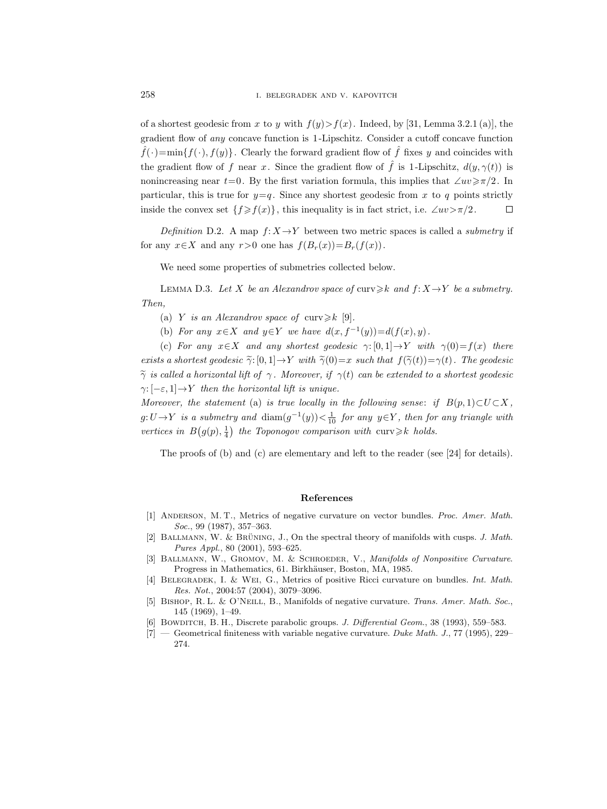of a shortest geodesic from x to y with  $f(y) > f(x)$ . Indeed, by [31, Lemma 3.2.1 (a)], the gradient flow of any concave function is 1 -Lipschitz. Consider a cutoff concave function  $\hat{f}(\cdot) = \min\{f(\cdot), f(y)\}\.$  Clearly the forward gradient flow of  $\hat{f}$  fixes y and coincides with the gradient flow of f near x. Since the gradient flow of  $\hat{f}$  is 1-Lipschitz,  $d(y, \gamma(t))$  is nonincreasing near  $t=0$ . By the first variation formula, this implies that  $\angle uv \geq \pi/2$ . In particular, this is true for  $y=q$ . Since any shortest geodesic from x to q points strictly inside the convex set  $\{f \geq f(x)\}\,$ , this inequality is in fact strict, i.e.  $\angle uv \geq \pi/2$ .  $\Box$ 

Definition D.2. A map  $f: X \rightarrow Y$  between two metric spaces is called a *submetry* if for any  $x \in X$  and any  $r>0$  one has  $f(B_r(x))=B_r(f(x))$ .

We need some properties of submetries collected below.

LEMMA D.3. Let X be an Alexandrov space of curv $\geq k$  and  $f: X \rightarrow Y$  be a submetry. Then,

(a) Y is an Alexandrov space of curv $\geq k$  [9].

(b) For any  $x \in X$  and  $y \in Y$  we have  $d(x, f^{-1}(y)) = d(f(x), y)$ .

(c) For any  $x \in X$  and any shortest geodesic  $\gamma: [0, 1] \rightarrow Y$  with  $\gamma(0) = f(x)$  there exists a shortest geodesic  $\widetilde{\gamma}: [0, 1] \to Y$  with  $\widetilde{\gamma}(0)=x$  such that  $f(\widetilde{\gamma}(t))=\gamma(t)$ . The geodesic  $\tilde{\gamma}$  is called a horizontal lift of  $\gamma$ . Moreover, if  $\gamma(t)$  can be extended to a shortest geodesic  $\gamma: [-\varepsilon, 1] \to Y$  then the horizontal lift is unique.

Moreover, the statement (a) is true locally in the following sense: if  $B(p, 1) \subset U \subset X$ ,  $g: U \to Y$  is a submetry and  $\text{diam}(g^{-1}(y)) < \frac{1}{10}$  for any  $y \in Y$ , then for any triangle with vertices in  $B(g(p), \frac{1}{4})$  the Toponogov comparison with curv $\geq k$  holds.

The proofs of (b) and (c) are elementary and left to the reader (see [24] for details).

#### References

- [1] ANDERSON, M. T., Metrics of negative curvature on vector bundles. Proc. Amer. Math. Soc., 99 (1987), 357-363.
- [2] BALLMANN, W. & BRÜNING, J., On the spectral theory of manifolds with cusps. J. Math. Pures Appl., 80 (2001), 593–625.
- [3] BALLMANN, W., GROMOV, M. & SCHROEDER, V., Manifolds of Nonpositive Curvature. Progress in Mathematics, 61. Birkhäuser, Boston, MA, 1985.
- [4] Belegradek, I. & Wei, G., Metrics of positive Ricci curvature on bundles. Int. Math. Res. Not., 2004:57 (2004), 3079–3096.
- [5] BISHOP, R. L. & O'NEILL, B., Manifolds of negative curvature. Trans. Amer. Math. Soc., 145 (1969), 1–49.
- [6] BOWDITCH, B. H., Discrete parabolic groups. J. Differential Geom., 38 (1993), 559–583.
- $[7]$  Geometrical finiteness with variable negative curvature. Duke Math. J., 77 (1995), 229– 274.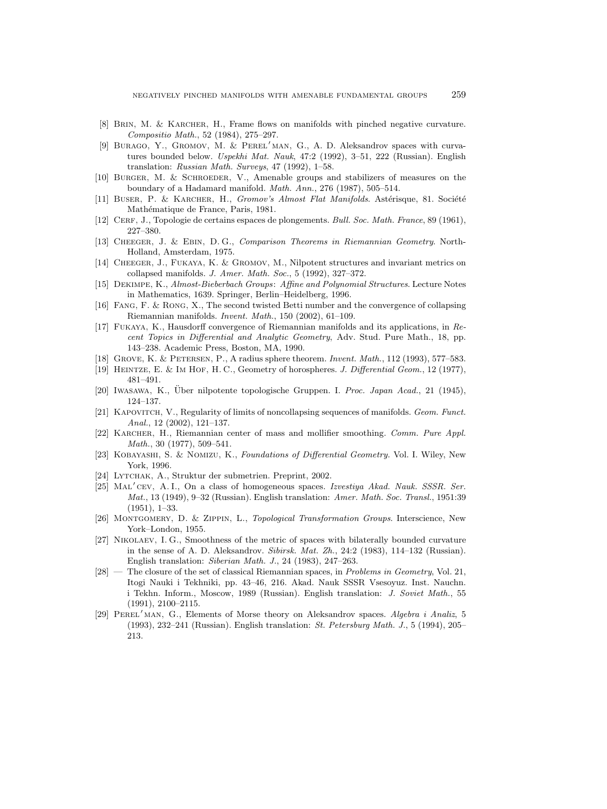- [8] Brin, M. & Karcher, H., Frame flows on manifolds with pinched negative curvature. Compositio Math., 52 (1984), 275–297.
- [9] BURAGO, Y., GROMOV, M. & PEREL'MAN, G., A. D. Aleksandrov spaces with curvatures bounded below. Uspekhi Mat. Nauk, 47:2 (1992), 3-51, 222 (Russian). English translation: Russian Math. Surveys, 47 (1992), 1–58.
- [10] Burger, M. & Schroeder, V., Amenable groups and stabilizers of measures on the boundary of a Hadamard manifold. Math. Ann., 276 (1987), 505–514.
- [11] BUSER, P. & KARCHER, H., Gromov's Almost Flat Manifolds. Astérisque, 81. Société Mathématique de France, Paris, 1981.
- [12] CERF, J., Topologie de certains espaces de plongements. Bull. Soc. Math. France, 89 (1961), 227–380.
- [13] Cheeger, J. & Ebin, D. G., Comparison Theorems in Riemannian Geometry. North-Holland, Amsterdam, 1975.
- [14] Cheeger, J., Fukaya, K. & Gromov, M., Nilpotent structures and invariant metrics on collapsed manifolds. J. Amer. Math. Soc., 5 (1992), 327–372.
- [15] Dekimpe, K., Almost-Bieberbach Groups: Affine and Polynomial Structures. Lecture Notes in Mathematics, 1639. Springer, Berlin–Heidelberg, 1996.
- [16] Fang, F. & Rong, X., The second twisted Betti number and the convergence of collapsing Riemannian manifolds. Invent. Math., 150 (2002), 61–109.
- [17] Fukaya, K., Hausdorff convergence of Riemannian manifolds and its applications, in Recent Topics in Differential and Analytic Geometry, Adv. Stud. Pure Math., 18, pp. 143–238. Academic Press, Boston, MA, 1990.
- [18] Grove, K. & Petersen, P., A radius sphere theorem. Invent. Math., 112 (1993), 577–583.
- [19] HEINTZE, E. & IM HOF, H. C., Geometry of horospheres. J. Differential Geom., 12 (1977), 481–491.
- [20] IWASAWA, K., Über nilpotente topologische Gruppen. I. Proc. Japan Acad., 21 (1945), 124–137.
- [21] KAPOVITCH, V., Regularity of limits of noncollapsing sequences of manifolds. Geom. Funct. Anal., 12 (2002), 121–137.
- [22] KARCHER, H., Riemannian center of mass and mollifier smoothing. Comm. Pure Appl. Math., 30 (1977), 509–541.
- [23] Kobayashi, S. & Nomizu, K., Foundations of Differential Geometry. Vol. I. Wiley, New York, 1996.
- [24] Lytchak, A., Struktur der submetrien. Preprint, 2002.
- [25] MAL'CEV, A. I., On a class of homogeneous spaces. Izvestiya Akad. Nauk. SSSR. Ser. Mat., 13 (1949), 9–32 (Russian). English translation: Amer. Math. Soc. Transl., 1951:39 (1951), 1–33.
- [26] MONTGOMERY, D. & ZIPPIN, L., Topological Transformation Groups. Interscience, New York–London, 1955.
- [27] Nikolaev, I. G., Smoothness of the metric of spaces with bilaterally bounded curvature in the sense of A. D. Aleksandrov. Sibirsk. Mat. Zh., 24:2 (1983), 114–132 (Russian). English translation: Siberian Math. J., 24 (1983), 247–263.
- $[28]$  The closure of the set of classical Riemannian spaces, in *Problems in Geometry*, Vol. 21, Itogi Nauki i Tekhniki, pp. 43–46, 216. Akad. Nauk SSSR Vsesoyuz. Inst. Nauchn. i Tekhn. Inform., Moscow, 1989 (Russian). English translation: J. Soviet Math., 55 (1991), 2100–2115.
- [29] PEREL'MAN, G., Elements of Morse theory on Aleksandrov spaces. Algebra i Analiz, 5 (1993), 232–241 (Russian). English translation: St. Petersburg Math. J., 5 (1994), 205– 213.